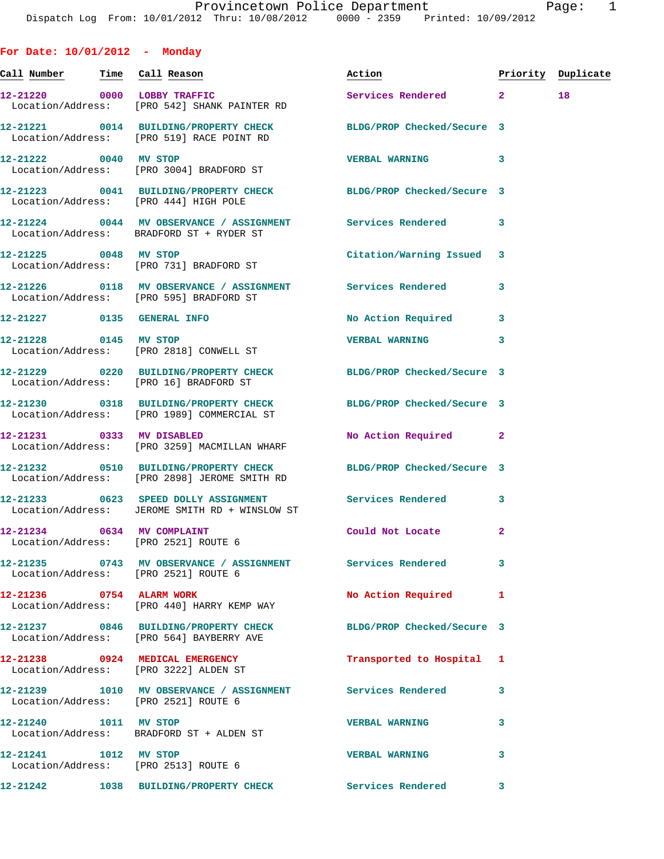**For Date: 10/01/2012 - Monday Call Number Time Call Reason Action Priority Duplicate 12-21220 0000 LOBBY TRAFFIC Services Rendered 2 18**  Location/Address: [PRO 542] SHANK PAINTER RD **12-21221 0014 BUILDING/PROPERTY CHECK BLDG/PROP Checked/Secure 3**  Location/Address: [PRO 519] RACE POINT RD **12-21222 0040 MV STOP VERBAL WARNING 3**  Location/Address: [PRO 3004] BRADFORD ST **12-21223 0041 BUILDING/PROPERTY CHECK BLDG/PROP Checked/Secure 3**  Location/Address: [PRO 444] HIGH POLE **12-21224 0044 MV OBSERVANCE / ASSIGNMENT Services Rendered 3**  Location/Address: BRADFORD ST + RYDER ST **12-21225 0048 MV STOP Citation/Warning Issued 3**  Location/Address: [PRO 731] BRADFORD ST **12-21226 0118 MV OBSERVANCE / ASSIGNMENT Services Rendered 3**  Location/Address: [PRO 595] BRADFORD ST **12-21227 0135 GENERAL INFO No Action Required 3 12-21228 0145 MV STOP VERBAL WARNING 3**  Location/Address: [PRO 2818] CONWELL ST **12-21229 0220 BUILDING/PROPERTY CHECK BLDG/PROP Checked/Secure 3**  Location/Address: [PRO 16] BRADFORD ST **12-21230 0318 BUILDING/PROPERTY CHECK BLDG/PROP Checked/Secure 3**  Location/Address: [PRO 1989] COMMERCIAL ST **12-21231 0333 MV DISABLED No Action Required 2**  Location/Address: [PRO 3259] MACMILLAN WHARF **12-21232 0510 BUILDING/PROPERTY CHECK BLDG/PROP Checked/Secure 3**  Location/Address: [PRO 2898] JEROME SMITH RD **12-21233 0623 SPEED DOLLY ASSIGNMENT Services Rendered 3**  Location/Address: JEROME SMITH RD + WINSLOW ST **12-21234 0634 MV COMPLAINT Could Not Locate 2**  Location/Address: [PRO 2521] ROUTE 6 **12-21235 0743 MV OBSERVANCE / ASSIGNMENT Services Rendered 3**  Location/Address: [PRO 2521] ROUTE 6 **12-21236 0754 ALARM WORK No Action Required 1**  Location/Address: [PRO 440] HARRY KEMP WAY **12-21237 0846 BUILDING/PROPERTY CHECK BLDG/PROP Checked/Secure 3**  Location/Address: [PRO 564] BAYBERRY AVE **12-21238 0924 MEDICAL EMERGENCY Transported to Hospital 1**  Location/Address: [PRO 3222] ALDEN ST **12-21239 1010 MV OBSERVANCE / ASSIGNMENT Services Rendered 3**  Location/Address: [PRO 2521] ROUTE 6 **12-21240 1011 MV STOP VERBAL WARNING 3**  Location/Address: BRADFORD ST + ALDEN ST **12-21241 1012 MV STOP VERBAL WARNING 3**  Location/Address: [PRO 2513] ROUTE 6

**12-21242 1038 BUILDING/PROPERTY CHECK Services Rendered 3**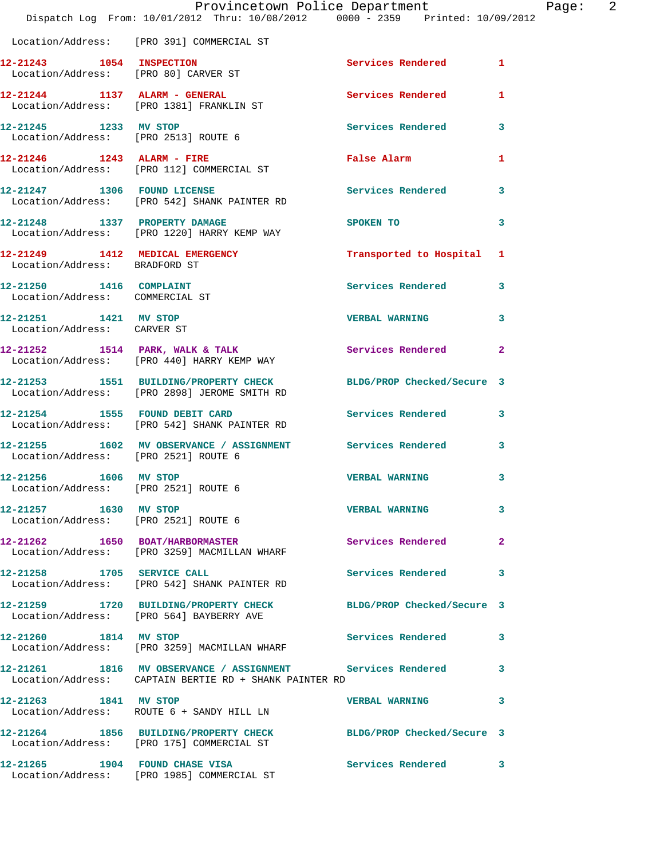|                                                               | Provincetown Police Department<br>Dispatch Log From: 10/01/2012 Thru: 10/08/2012 0000 - 2359 Printed: 10/09/2012     |                            | 2<br>Page:   |
|---------------------------------------------------------------|----------------------------------------------------------------------------------------------------------------------|----------------------------|--------------|
|                                                               | Location/Address: [PRO 391] COMMERCIAL ST                                                                            |                            |              |
|                                                               | 12-21243   1054   INSPECTION<br>Location/Address: [PRO 80] CARVER ST                                                 | Services Rendered 1        |              |
|                                                               | 12-21244 1137 ALARM - GENERAL<br>Location/Address: [PRO 1381] FRANKLIN ST                                            | Services Rendered          | 1            |
| 12-21245 1233 MV STOP                                         | Location/Address: [PRO 2513] ROUTE 6                                                                                 | Services Rendered          | 3            |
|                                                               | 12-21246   1243   ALARM - FIRE<br>Location/Address: [PRO 112] COMMERCIAL ST                                          | False Alarm                | 1            |
|                                                               | 12-21247 1306 FOUND LICENSE<br>Location/Address: [PRO 542] SHANK PAINTER RD                                          | Services Rendered 3        |              |
|                                                               | 12-21248 1337 PROPERTY DAMAGE<br>Location/Address: [PRO 1220] HARRY KEMP WAY                                         | SPOKEN TO                  | 3            |
| Location/Address: BRADFORD ST                                 | 12-21249 1412 MEDICAL EMERGENCY                                                                                      | Transported to Hospital 1  |              |
| 12-21250 1416 COMPLAINT<br>Location/Address: COMMERCIAL ST    |                                                                                                                      | Services Rendered          | 3            |
| 12-21251 1421 MV STOP<br>Location/Address: CARVER ST          |                                                                                                                      | <b>VERBAL WARNING</b>      | 3            |
|                                                               | 12-21252 1514 PARK, WALK & TALK<br>Location/Address: [PRO 440] HARRY KEMP WAY                                        | Services Rendered          | $\mathbf{2}$ |
|                                                               | 12-21253 1551 BUILDING/PROPERTY CHECK<br>Location/Address: [PRO 2898] JEROME SMITH RD                                | BLDG/PROP Checked/Secure 3 |              |
|                                                               | 12-21254 1555 FOUND DEBIT CARD<br>Location/Address: [PRO 542] SHANK PAINTER RD                                       | Services Rendered          | 3            |
| Location/Address: [PRO 2521] ROUTE 6                          | 12-21255 1602 MV OBSERVANCE / ASSIGNMENT Services Rendered                                                           |                            | 3            |
| 12-21256 1606 MV STOP<br>Location/Address: [PRO 2521] ROUTE 6 |                                                                                                                      | <b>VERBAL WARNING</b>      | 3            |
| 12-21257 1630 MV STOP                                         | Location/Address: [PRO 2521] ROUTE 6                                                                                 | <b>VERBAL WARNING</b>      | 3            |
|                                                               | 12-21262 1650 BOAT/HARBORMASTER<br>Location/Address: [PRO 3259] MACMILLAN WHARF                                      | <b>Services Rendered</b>   | $\mathbf{2}$ |
| 12-21258 1705 SERVICE CALL                                    | Location/Address: [PRO 542] SHANK PAINTER RD                                                                         | Services Rendered          | 3            |
|                                                               | 12-21259 1720 BUILDING/PROPERTY CHECK BLDG/PROP Checked/Secure 3<br>Location/Address: [PRO 564] BAYBERRY AVE         |                            |              |
| 12-21260 1814 MV STOP                                         | Location/Address: [PRO 3259] MACMILLAN WHARF                                                                         | Services Rendered          | 3            |
|                                                               | 12-21261 1816 MV OBSERVANCE / ASSIGNMENT Services Rendered<br>Location/Address: CAPTAIN BERTIE RD + SHANK PAINTER RD |                            | 3            |
| 12-21263 1841 MV STOP                                         | Location/Address: ROUTE 6 + SANDY HILL LN                                                                            | <b>VERBAL WARNING</b>      | 3            |
|                                                               | 12-21264 1856 BUILDING/PROPERTY CHECK<br>Location/Address: [PRO 175] COMMERCIAL ST                                   | BLDG/PROP Checked/Secure 3 |              |
|                                                               | 12-21265 1904 FOUND CHASE VISA<br>Location/Address: [PRO 1985] COMMERCIAL ST                                         | <b>Services Rendered</b>   | 3            |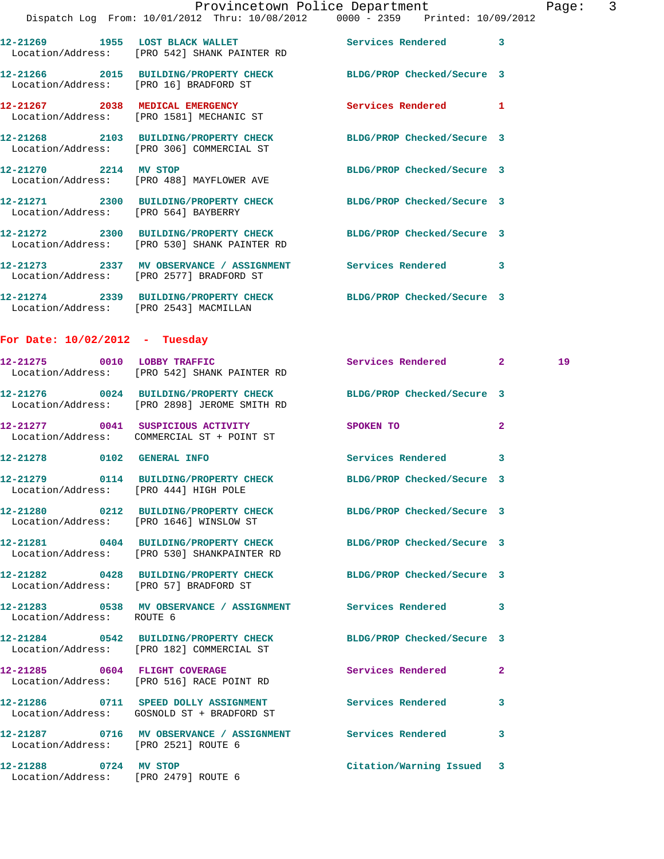|                                                   |                                                                                 | Provincetown Police Department<br>Dispatch Log From: 10/01/2012 Thru: 10/08/2012 0000 - 2359 Printed: 10/09/2012 | $\overline{3}$<br>Page: |
|---------------------------------------------------|---------------------------------------------------------------------------------|------------------------------------------------------------------------------------------------------------------|-------------------------|
|                                                   | Location/Address: [PRO 542] SHANK PAINTER RD                                    | 12-21269 1955 LOST BLACK WALLET Services Rendered 3                                                              |                         |
|                                                   |                                                                                 | 12-21266 2015 BUILDING/PROPERTY CHECK BLDG/PROP Checked/Secure 3<br>Location/Address: [PRO 16] BRADFORD ST       |                         |
|                                                   | 12-21267 2038 MEDICAL EMERGENCY<br>Location/Address: [PRO 1581] MECHANIC ST     | Services Rendered 1                                                                                              |                         |
|                                                   | Location/Address: [PRO 306] COMMERCIAL ST                                       | 12-21268 2103 BUILDING/PROPERTY CHECK BLDG/PROP Checked/Secure 3                                                 |                         |
|                                                   | 12-21270 2214 MV STOP<br>Location/Address: [PRO 488] MAYFLOWER AVE              | BLDG/PROP Checked/Secure 3                                                                                       |                         |
| Location/Address: [PRO 564] BAYBERRY              |                                                                                 | 12-21271 2300 BUILDING/PROPERTY CHECK BLDG/PROP Checked/Secure 3                                                 |                         |
|                                                   | Location/Address: [PRO 530] SHANK PAINTER RD                                    | 12-21272 2300 BUILDING/PROPERTY CHECK BLDG/PROP Checked/Secure 3                                                 |                         |
|                                                   | Location/Address: [PRO 2577] BRADFORD ST                                        | 12-21273 2337 MV OBSERVANCE / ASSIGNMENT Services Rendered 3                                                     |                         |
|                                                   | Location/Address: [PRO 2543] MACMILLAN                                          | 12-21274 2339 BUILDING/PROPERTY CHECK BLDG/PROP Checked/Secure 3                                                 |                         |
| For Date: $10/02/2012$ - Tuesday                  |                                                                                 |                                                                                                                  |                         |
|                                                   | 12-21275 0010 LOBBY TRAFFIC<br>Location/Address: [PRO 542] SHANK PAINTER RD     | Services Rendered 2                                                                                              | 19                      |
|                                                   | Location/Address: [PRO 2898] JEROME SMITH RD                                    | 12-21276 0024 BUILDING/PROPERTY CHECK BLDG/PROP Checked/Secure 3                                                 |                         |
|                                                   | 12-21277 0041 SUSPICIOUS ACTIVITY<br>Location/Address: COMMERCIAL ST + POINT ST | SPOKEN TO                                                                                                        | -2                      |
| 12-21278 0102 GENERAL INFO                        |                                                                                 | Services Rendered 3                                                                                              |                         |
| 12-21279<br>Location/Address: [PRO 444] HIGH POLE |                                                                                 | 0114 BUILDING/PROPERTY CHECK BLDG/PROP Checked/Secure 3                                                          |                         |
|                                                   | Location/Address: [PRO 1646] WINSLOW ST                                         | 12-21280 0212 BUILDING/PROPERTY CHECK BLDG/PROP Checked/Secure 3                                                 |                         |
|                                                   | Location/Address: [PRO 530] SHANKPAINTER RD                                     | 12-21281 0404 BUILDING/PROPERTY CHECK BLDG/PROP Checked/Secure 3                                                 |                         |
|                                                   | Location/Address: [PRO 57] BRADFORD ST                                          | 12-21282 0428 BUILDING/PROPERTY CHECK BLDG/PROP Checked/Secure 3                                                 |                         |
| Location/Address: ROUTE 6                         |                                                                                 | 12-21283 0538 MV OBSERVANCE / ASSIGNMENT Services Rendered                                                       | 3                       |
|                                                   | Location/Address: [PRO 182] COMMERCIAL ST                                       | 12-21284 0542 BUILDING/PROPERTY CHECK BLDG/PROP Checked/Secure 3                                                 |                         |
|                                                   | 12-21285 0604 FLIGHT COVERAGE<br>Location/Address: [PRO 516] RACE POINT RD      | Services Rendered                                                                                                | 2                       |
|                                                   | Location/Address: GOSNOLD ST + BRADFORD ST                                      | 12-21286 0711 SPEED DOLLY ASSIGNMENT Services Rendered 3                                                         |                         |
| Location/Address: [PRO 2521] ROUTE 6              | 12-21287 0716 MV OBSERVANCE / ASSIGNMENT Services Rendered                      |                                                                                                                  | 3                       |
| 12-21288 0724 MV STOP                             |                                                                                 | Citation/Warning Issued 3                                                                                        |                         |

Location/Address: [PRO 2479] ROUTE 6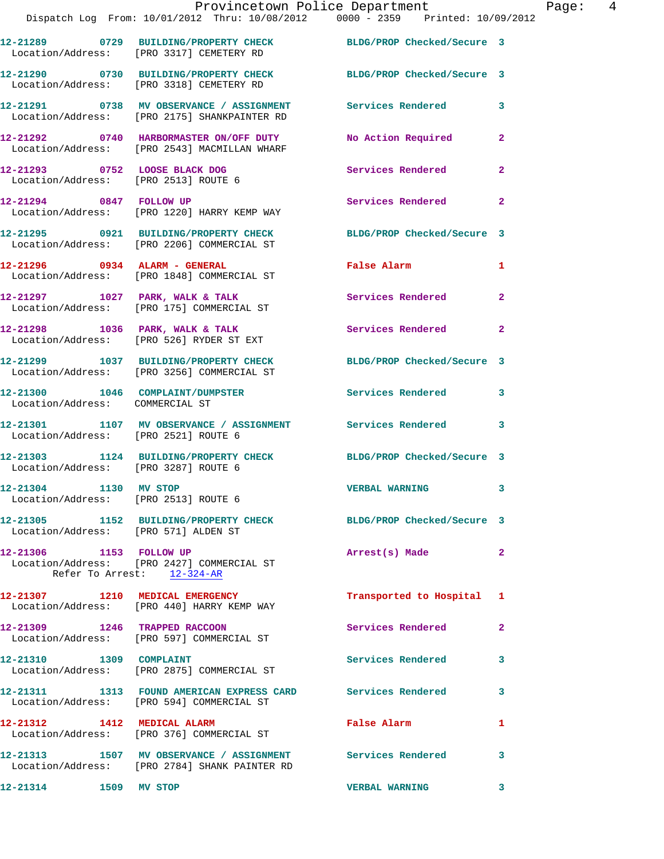|                                                                     | Provincetown Police Department<br>Dispatch Log From: 10/01/2012 Thru: 10/08/2012 0000 - 2359 Printed: 10/09/2012                            |                            |                |
|---------------------------------------------------------------------|---------------------------------------------------------------------------------------------------------------------------------------------|----------------------------|----------------|
|                                                                     | 12-21289 0729 BUILDING/PROPERTY CHECK BLDG/PROP Checked/Secure 3<br>Location/Address: [PRO 3317] CEMETERY RD                                |                            |                |
|                                                                     | 12-21290 0730 BUILDING/PROPERTY CHECK<br>Location/Address: [PRO 3318] CEMETERY RD                                                           | BLDG/PROP Checked/Secure 3 |                |
|                                                                     | 12-21291 0738 MV OBSERVANCE / ASSIGNMENT Services Rendered<br>Location/Address: [PRO 2175] SHANKPAINTER RD                                  |                            | 3              |
|                                                                     | 12-21292 0740 HARBORMASTER ON/OFF DUTY<br>Location/Address: [PRO 2543] MACMILLAN WHARF                                                      | No Action Required         | $\overline{a}$ |
| Location/Address: [PRO 2513] ROUTE 6                                | 12-21293 0752 LOOSE BLACK DOG                                                                                                               | <b>Services Rendered</b>   | $\mathbf{2}$   |
| 12-21294 0847 FOLLOW UP                                             | Location/Address: [PRO 1220] HARRY KEMP WAY                                                                                                 | Services Rendered          | $\overline{a}$ |
|                                                                     | 12-21295 0921 BUILDING/PROPERTY CHECK BLDG/PROP Checked/Secure 3<br>Location/Address: [PRO 2206] COMMERCIAL ST                              |                            |                |
|                                                                     | 12-21296 0934 ALARM - GENERAL<br>Location/Address: [PRO 1848] COMMERCIAL ST                                                                 | False Alarm                | 1              |
|                                                                     | 12-21297 1027 PARK, WALK & TALK<br>Location/Address: [PRO 175] COMMERCIAL ST                                                                | Services Rendered          | $\mathbf{2}$   |
|                                                                     | $12 - 21298$ 1036 PARK, WALK & TALK<br>Location/Address: [PRO 526] RYDER ST EXT                                                             | Services Rendered          | $\mathbf{2}$   |
|                                                                     | 12-21299 1037 BUILDING/PROPERTY CHECK<br>Location/Address: [PRO 3256] COMMERCIAL ST                                                         | BLDG/PROP Checked/Secure 3 |                |
| 12-21300 1046 COMPLAINT/DUMPSTER<br>Location/Address: COMMERCIAL ST |                                                                                                                                             | Services Rendered          | 3              |
| Location/Address: [PRO 2521] ROUTE 6                                | 12-21301 1107 MV OBSERVANCE / ASSIGNMENT Services Rendered                                                                                  |                            | 3              |
| Location/Address: [PRO 3287] ROUTE 6                                | 12-21303 1124 BUILDING/PROPERTY CHECK BLDG/PROP Checked/Secure 3                                                                            |                            |                |
| 12-21304 1130 MV STOP<br>Location/Address: [PRO 2513] ROUTE 6       |                                                                                                                                             | <b>VERBAL WARNING</b>      | 3              |
| Location/Address: [PRO 571] ALDEN ST                                | 12-21305 1152 BUILDING/PROPERTY CHECK BLDG/PROP Checked/Secure 3                                                                            |                            |                |
| 12-21306 1153 FOLLOW UP                                             | Location/Address: [PRO 2427] COMMERCIAL ST<br>Refer To Arrest: 12-324-AR                                                                    | Arrest(s) Made             | $\mathbf{2}$   |
|                                                                     | 12-21307 1210 MEDICAL EMERGENCY<br>Location/Address: [PRO 440] HARRY KEMP WAY                                                               | Transported to Hospital    | 1              |
|                                                                     | 12-21309 1246 TRAPPED RACCOON<br>Location/Address: [PRO 597] COMMERCIAL ST                                                                  | Services Rendered          | $\overline{2}$ |
| 12-21310 1309 COMPLAINT                                             | Location/Address: [PRO 2875] COMMERCIAL ST                                                                                                  | Services Rendered          | 3              |
|                                                                     | 12-21311                1313    FOUND  AMERICAN  EXPRESS  CARD              Services  Rendered<br>Location/Address: [PRO 594] COMMERCIAL ST |                            | 3              |
|                                                                     | 12-21312 1412 MEDICAL ALARM<br>Location/Address: [PRO 376] COMMERCIAL ST                                                                    | <b>False Alarm</b>         | 1              |
|                                                                     | 12-21313 1507 MV OBSERVANCE / ASSIGNMENT Services Rendered<br>Location/Address: [PRO 2784] SHANK PAINTER RD                                 |                            | 3              |
| 12-21314 1509 MV STOP                                               |                                                                                                                                             | <b>VERBAL WARNING</b>      | 3              |

Page:  $4$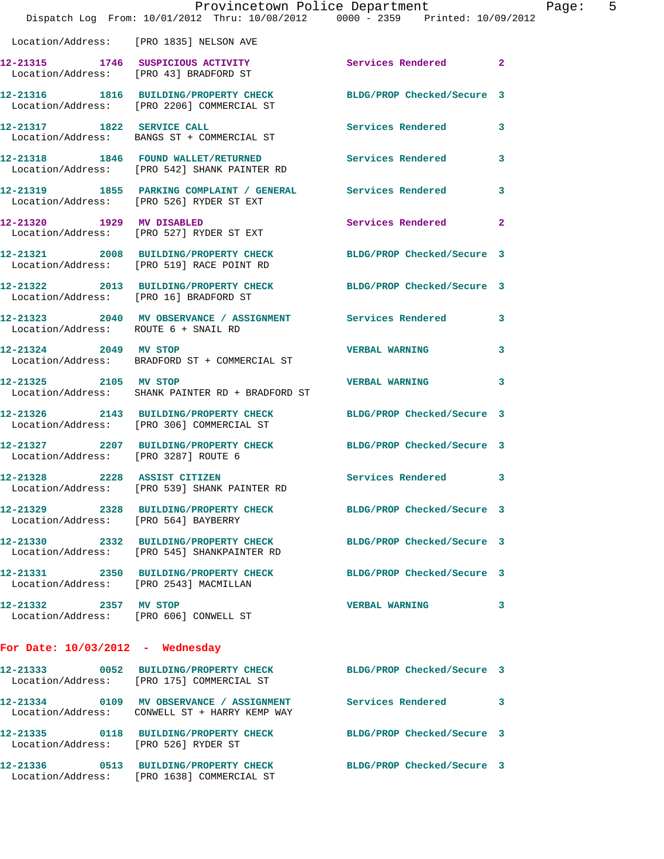|                                        | Provincetown Police Department<br>Dispatch Log From: 10/01/2012 Thru: 10/08/2012 0000 - 2359 Printed: 10/09/2012 |                            |                |
|----------------------------------------|------------------------------------------------------------------------------------------------------------------|----------------------------|----------------|
|                                        | Location/Address: [PRO 1835] NELSON AVE                                                                          |                            |                |
|                                        | 12-21315 1746 SUSPICIOUS ACTIVITY<br>Location/Address: [PRO 43] BRADFORD ST                                      | Services Rendered          | $\overline{2}$ |
|                                        | 12-21316 1816 BUILDING/PROPERTY CHECK<br>Location/Address: [PRO 2206] COMMERCIAL ST                              | BLDG/PROP Checked/Secure 3 |                |
| 12-21317 1822 SERVICE CALL             | Location/Address: BANGS ST + COMMERCIAL ST                                                                       | Services Rendered          | 3              |
|                                        | 12-21318 1846 FOUND WALLET/RETURNED<br>Location/Address: [PRO 542] SHANK PAINTER RD                              | Services Rendered          | 3              |
|                                        | 12-21319 1855 PARKING COMPLAINT / GENERAL Services Rendered<br>Location/Address: [PRO 526] RYDER ST EXT          |                            | 3              |
| 12-21320 1929 MV DISABLED              | Location/Address: [PRO 527] RYDER ST EXT                                                                         | <b>Services Rendered</b>   | $\overline{2}$ |
|                                        | 12-21321 2008 BUILDING/PROPERTY CHECK BLDG/PROP Checked/Secure 3<br>Location/Address: [PRO 519] RACE POINT RD    |                            |                |
| Location/Address: [PRO 16] BRADFORD ST | 12-21322 2013 BUILDING/PROPERTY CHECK BLDG/PROP Checked/Secure 3                                                 |                            |                |
| Location/Address: ROUTE 6 + SNAIL RD   | 12-21323 2040 MV OBSERVANCE / ASSIGNMENT Services Rendered                                                       |                            | 3              |
| 12-21324 2049 MV STOP                  | Location/Address: BRADFORD ST + COMMERCIAL ST                                                                    | <b>VERBAL WARNING</b>      | 3              |
|                                        | 12-21325 2105 MV STOP<br>Location/Address: SHANK PAINTER RD + BRADFORD ST                                        | <b>VERBAL WARNING</b>      | 3              |
|                                        | 12-21326 2143 BUILDING/PROPERTY CHECK BLDG/PROP Checked/Secure 3<br>Location/Address: [PRO 306] COMMERCIAL ST    |                            |                |
| Location/Address: [PRO 3287] ROUTE 6   | 12-21327 2207 BUILDING/PROPERTY CHECK BLDG/PROP Checked/Secure 3                                                 |                            |                |
| 12-21328 2228 ASSIST CITIZEN           | Location/Address: [PRO 539] SHANK PAINTER RD                                                                     | <b>Services Rendered</b>   |                |
| Location/Address: [PRO 564] BAYBERRY   | 12-21329 2328 BUILDING/PROPERTY CHECK                                                                            | BLDG/PROP Checked/Secure 3 |                |
|                                        | 12-21330 2332 BUILDING/PROPERTY CHECK<br>Location/Address: [PRO 545] SHANKPAINTER RD                             | BLDG/PROP Checked/Secure 3 |                |
| Location/Address: [PRO 2543] MACMILLAN | 12-21331 2350 BUILDING/PROPERTY CHECK                                                                            | BLDG/PROP Checked/Secure 3 |                |
| 12-21332 2357 MV STOP                  | Location/Address: [PRO 606] CONWELL ST                                                                           | <b>VERBAL WARNING</b>      | 3              |
| For Date: $10/03/2012$ - Wednesday     |                                                                                                                  |                            |                |
| 12-21333                               | 0052 BUILDING/PROPERTY CHECK BLDG/PROP Checked/Secure 3<br>Location/Address: [PRO 175] COMMERCIAL ST             |                            |                |
|                                        | 12-21334 0109 MV OBSERVANCE / ASSIGNMENT Services Rendered<br>Location/Address: CONWELL ST + HARRY KEMP WAY      |                            | 3              |

**12-21335 0118 BUILDING/PROPERTY CHECK BLDG/PROP Checked/Secure 3**  Location/Address: [PRO 526] RYDER ST

**12-21336 0513 BUILDING/PROPERTY CHECK BLDG/PROP Checked/Secure 3**  Location/Address: [PRO 1638] COMMERCIAL ST

Page:  $5$ <br>  $912$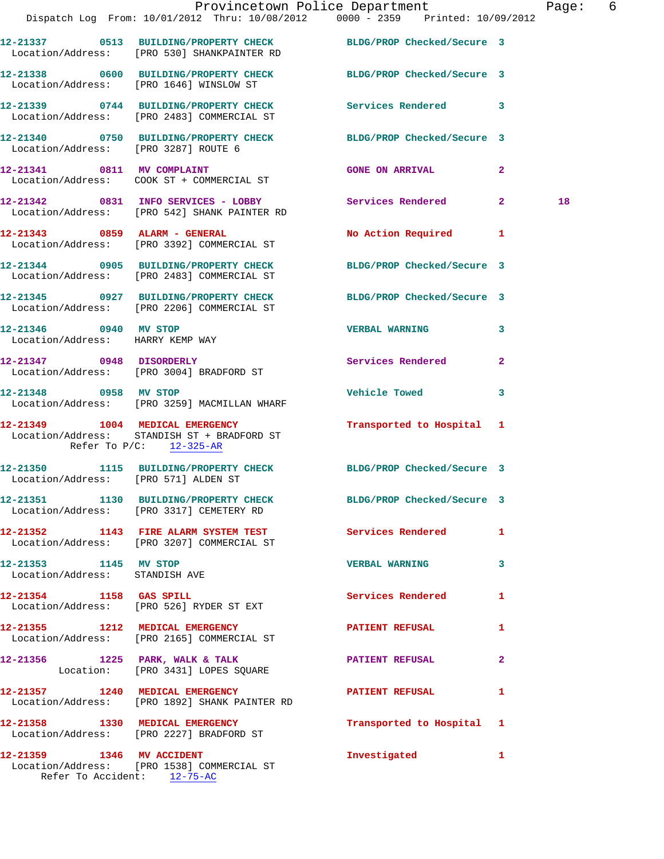|                                                           |                                                                                                           | Provincetown Police Department Page: 6<br>Dispatch Log From: 10/01/2012 Thru: 10/08/2012 0000 - 2359 Printed: 10/09/2012 |    |  |
|-----------------------------------------------------------|-----------------------------------------------------------------------------------------------------------|--------------------------------------------------------------------------------------------------------------------------|----|--|
|                                                           |                                                                                                           | 12-21337 0513 BUILDING/PROPERTY CHECK BLDG/PROP Checked/Secure 3<br>Location/Address: [PRO 530] SHANKPAINTER RD          |    |  |
|                                                           |                                                                                                           | 12-21338 0600 BUILDING/PROPERTY CHECK BLDG/PROP Checked/Secure 3<br>Location/Address: [PRO 1646] WINSLOW ST              |    |  |
|                                                           | Location/Address: [PRO 2483] COMMERCIAL ST                                                                | 12-21339 0744 BUILDING/PROPERTY CHECK Services Rendered 3                                                                |    |  |
|                                                           | Location/Address: [PRO 3287] ROUTE 6                                                                      | 12-21340 0750 BUILDING/PROPERTY CHECK BLDG/PROP Checked/Secure 3                                                         |    |  |
|                                                           | 12-21341 0811 MV COMPLAINT<br>Location/Address: COOK ST + COMMERCIAL ST                                   | <b>GONE ON ARRIVAL 2</b>                                                                                                 |    |  |
|                                                           | Location/Address: [PRO 542] SHANK PAINTER RD                                                              | 12-21342 0831 INFO SERVICES - LOBBY Services Rendered 2                                                                  | 18 |  |
|                                                           | 12-21343 0859 ALARM - GENERAL<br>Location/Address: [PRO 3392] COMMERCIAL ST                               | No Action Required 1                                                                                                     |    |  |
|                                                           | Location/Address: [PRO 2483] COMMERCIAL ST                                                                | 12-21344 0905 BUILDING/PROPERTY CHECK BLDG/PROP Checked/Secure 3                                                         |    |  |
|                                                           |                                                                                                           | 12-21345 0927 BUILDING/PROPERTY CHECK BLDG/PROP Checked/Secure 3<br>Location/Address: [PRO 2206] COMMERCIAL ST           |    |  |
| 12-21346 0940 MV STOP<br>Location/Address: HARRY KEMP WAY |                                                                                                           | <b>VERBAL WARNING</b><br>$\mathbf{3}$                                                                                    |    |  |
|                                                           | 12-21347 0948 DISORDERLY<br>Location/Address: [PRO 3004] BRADFORD ST                                      | Services Rendered 2                                                                                                      |    |  |
| 12-21348 0958 MV STOP                                     | Location/Address: [PRO 3259] MACMILLAN WHARF                                                              | <b>Vehicle Towed</b><br>3                                                                                                |    |  |
|                                                           | 12-21349 1004 MEDICAL EMERGENCY<br>Location/Address: STANDISH ST + BRADFORD ST<br>Refer To P/C: 12-325-AR | Transported to Hospital 1                                                                                                |    |  |
| Location/Address: [PRO 571] ALDEN ST                      |                                                                                                           | 12-21350 1115 BUILDING/PROPERTY CHECK BLDG/PROP Checked/Secure 3                                                         |    |  |
|                                                           | Location/Address: [PRO 3317] CEMETERY RD                                                                  | 12-21351 1130 BUILDING/PROPERTY CHECK BLDG/PROP Checked/Secure 3                                                         |    |  |
|                                                           | Location/Address: [PRO 3207] COMMERCIAL ST                                                                | 12-21352 1143 FIRE ALARM SYSTEM TEST Services Rendered 1                                                                 |    |  |
| 12-21353 1145 MV STOP<br>Location/Address: STANDISH AVE   |                                                                                                           | <b>VERBAL WARNING</b><br>3                                                                                               |    |  |
|                                                           | 12-21354 1158 GAS SPILL<br>Location/Address: [PRO 526] RYDER ST EXT                                       | Services Rendered<br>$\mathbf{1}$                                                                                        |    |  |
|                                                           | 12-21355 1212 MEDICAL EMERGENCY<br>Location/Address: [PRO 2165] COMMERCIAL ST                             | <b>PATIENT REFUSAL</b><br>$\mathbf{1}$                                                                                   |    |  |
|                                                           | 12-21356 1225 PARK, WALK & TALK<br>Location: [PRO 3431] LOPES SQUARE                                      | $\overline{a}$<br>PATIENT REFUSAL                                                                                        |    |  |
|                                                           | 12-21357 1240 MEDICAL EMERGENCY<br>Location/Address: [PRO 1892] SHANK PAINTER RD                          | <b>PATIENT REFUSAL</b><br>$\mathbf{1}$                                                                                   |    |  |
|                                                           | 12-21358 1330 MEDICAL EMERGENCY<br>Location/Address: [PRO 2227] BRADFORD ST                               | Transported to Hospital 1                                                                                                |    |  |
|                                                           | 12-21359 1346 MV ACCIDENT<br>Location/Address: [PRO 1538] COMMERCIAL ST                                   | Investigated 1                                                                                                           |    |  |

Refer To Accident: 12-75-AC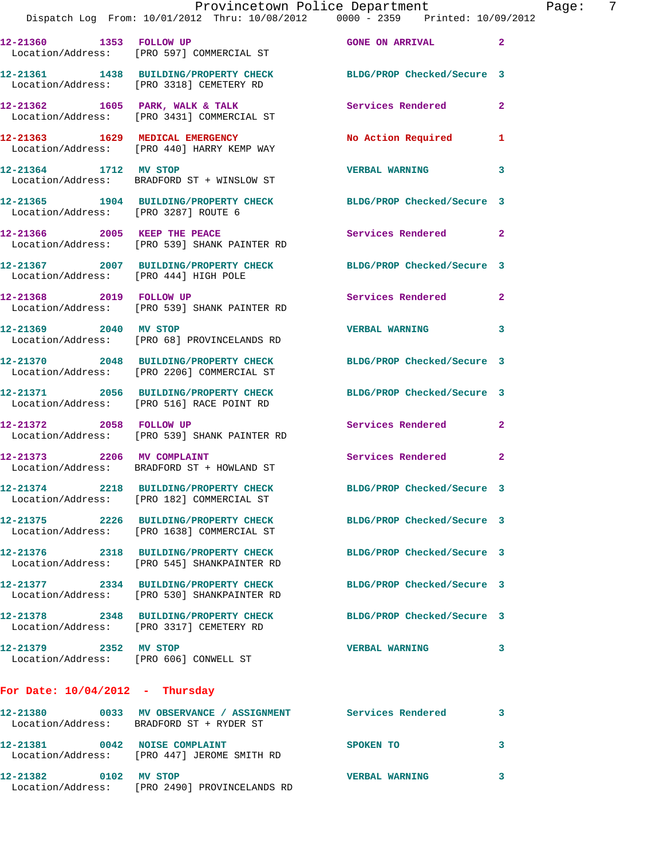|                                       | Dispatch Log From: 10/01/2012 Thru: 10/08/2012 0000 - 2359 Printed: 10/09/2012                                  | Provincetown Police Department | Page: 7        |
|---------------------------------------|-----------------------------------------------------------------------------------------------------------------|--------------------------------|----------------|
|                                       | 12-21360 1353 FOLLOW UP<br>Location/Address: [PRO 597] COMMERCIAL ST                                            | <b>GONE ON ARRIVAL</b>         | $\overline{a}$ |
|                                       | 12-21361 1438 BUILDING/PROPERTY CHECK BLDG/PROP Checked/Secure 3<br>Location/Address: [PRO 3318] CEMETERY RD    |                                |                |
|                                       | 12-21362 1605 PARK, WALK & TALK<br>Location/Address: [PRO 3431] COMMERCIAL ST                                   | Services Rendered 2            |                |
|                                       | 12-21363 1629 MEDICAL EMERGENCY No Action Required 1<br>Location/Address: [PRO 440] HARRY KEMP WAY              |                                |                |
|                                       | 12-21364 1712 MV STOP<br>Location/Address: BRADFORD ST + WINSLOW ST                                             | <b>VERBAL WARNING</b>          | 3              |
| Location/Address: [PRO 3287] ROUTE 6  | 12-21365 1904 BUILDING/PROPERTY CHECK BLDG/PROP Checked/Secure 3                                                |                                |                |
|                                       | 12-21366 2005 KEEP THE PEACE<br>Location/Address: [PRO 539] SHANK PAINTER RD                                    | Services Rendered 2            |                |
| Location/Address: [PRO 444] HIGH POLE | 12-21367 2007 BUILDING/PROPERTY CHECK BLDG/PROP Checked/Secure 3                                                |                                |                |
|                                       | 12-21368 2019 FOLLOW UP<br>Location/Address: [PRO 539] SHANK PAINTER RD                                         | Services Rendered 2            |                |
|                                       | 12-21369 2040 MV STOP<br>Location/Address: [PRO 68] PROVINCELANDS RD                                            | <b>VERBAL WARNING</b>          | 3              |
|                                       | 12-21370 2048 BUILDING/PROPERTY CHECK BLDG/PROP Checked/Secure 3<br>Location/Address: [PRO 2206] COMMERCIAL ST  |                                |                |
|                                       | 12-21371 2056 BUILDING/PROPERTY CHECK BLDG/PROP Checked/Secure 3<br>Location/Address: [PRO 516] RACE POINT RD   |                                |                |
| 12-21372 2058 FOLLOW UP               | Location/Address: [PRO 539] SHANK PAINTER RD                                                                    | Services Rendered 2            |                |
|                                       | 12-21373 2206 MV COMPLAINT<br>Location/Address: BRADFORD ST + HOWLAND ST                                        | Services Rendered 2            |                |
|                                       | 12-21374 2218 BUILDING/PROPERTY CHECK<br>Location/Address: [PRO 182] COMMERCIAL ST                              | BLDG/PROP Checked/Secure 3     |                |
|                                       | 12-21375 2226 BUILDING/PROPERTY CHECK BLDG/PROP Checked/Secure 3<br>Location/Address: [PRO 1638] COMMERCIAL ST  |                                |                |
|                                       | 12-21376 2318 BUILDING/PROPERTY CHECK<br>Location/Address: [PRO 545] SHANKPAINTER RD                            | BLDG/PROP Checked/Secure 3     |                |
|                                       | 12-21377 2334 BUILDING/PROPERTY CHECK BLDG/PROP Checked/Secure 3<br>Location/Address: [PRO 530] SHANKPAINTER RD |                                |                |
|                                       | 12-21378 2348 BUILDING/PROPERTY CHECK<br>Location/Address: [PRO 3317] CEMETERY RD                               | BLDG/PROP Checked/Secure 3     |                |
|                                       | 12-21379 2352 MV STOP<br>Location/Address: [PRO 606] CONWELL ST                                                 | <b>VERBAL WARNING</b>          | 3              |
| For Date: $10/04/2012$ - Thursday     |                                                                                                                 |                                |                |
|                                       | 12-21380 0033 MV OBSERVANCE / ASSIGNMENT Services Rendered<br>Location/Address: BRADFORD ST + RYDER ST          |                                | 3              |
| 12-21381 0042 NOISE COMPLAINT         | Location/Address: [PRO 447] JEROME SMITH RD                                                                     | SPOKEN TO                      | 3              |
| 12-21382 0102 MV STOP                 |                                                                                                                 | <b>VERBAL WARNING</b>          | 3              |

Location/Address: [PRO 2490] PROVINCELANDS RD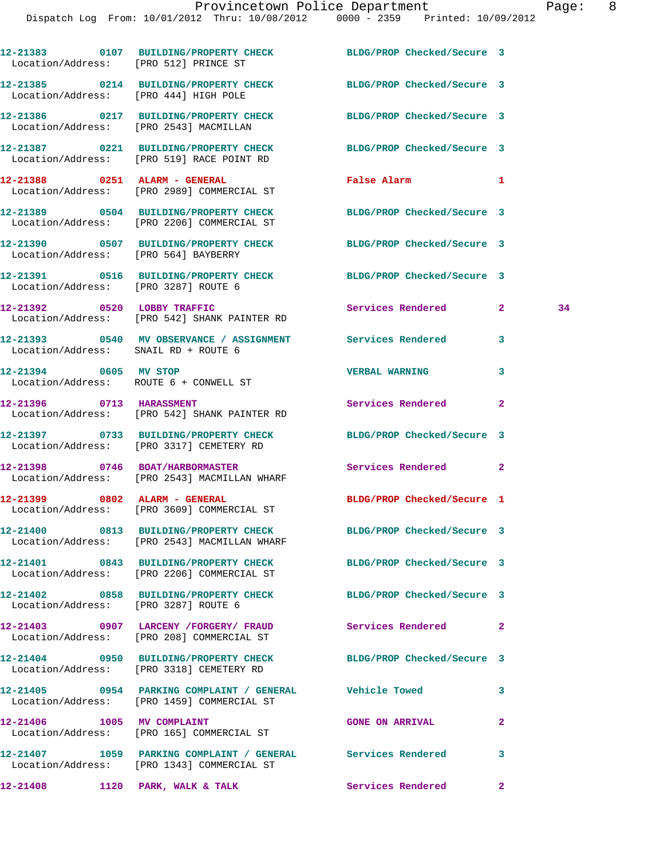| Location/Address: [PRO 512] PRINCE ST  | 12-21383 0107 BUILDING/PROPERTY CHECK BLDG/PROP Checked/Secure 3                                               |                            |                    |
|----------------------------------------|----------------------------------------------------------------------------------------------------------------|----------------------------|--------------------|
|                                        | 12-21385 0214 BUILDING/PROPERTY CHECK<br>Location/Address: [PRO 444] HIGH POLE                                 | BLDG/PROP Checked/Secure 3 |                    |
| Location/Address: [PRO 2543] MACMILLAN | 12-21386 0217 BUILDING/PROPERTY CHECK                                                                          | BLDG/PROP Checked/Secure 3 |                    |
|                                        | 12-21387 0221 BUILDING/PROPERTY CHECK<br>Location/Address: [PRO 519] RACE POINT RD                             | BLDG/PROP Checked/Secure 3 |                    |
|                                        | 12-21388 0251 ALARM - GENERAL<br>Location/Address: [PRO 2989] COMMERCIAL ST                                    | False Alarm                | $\mathbf{1}$       |
|                                        | 12-21389 0504 BUILDING/PROPERTY CHECK<br>Location/Address: [PRO 2206] COMMERCIAL ST                            | BLDG/PROP Checked/Secure 3 |                    |
| Location/Address: [PRO 564] BAYBERRY   | 12-21390 0507 BUILDING/PROPERTY CHECK BLDG/PROP Checked/Secure 3                                               |                            |                    |
| Location/Address: [PRO 3287] ROUTE 6   | 12-21391 0516 BUILDING/PROPERTY CHECK BLDG/PROP Checked/Secure 3                                               |                            |                    |
|                                        | 12-21392 0520 LOBBY TRAFFIC<br>Location/Address: [PRO 542] SHANK PAINTER RD                                    | Services Rendered          | $\mathbf{2}$<br>34 |
| Location/Address: SNAIL RD + ROUTE 6   | 12-21393 0540 MV OBSERVANCE / ASSIGNMENT Services Rendered                                                     |                            | 3                  |
| 12-21394 0605 MV STOP                  | Location/Address: ROUTE 6 + CONWELL ST                                                                         | <b>VERBAL WARNING</b>      | 3                  |
| 12-21396 0713 HARASSMENT               | Location/Address: [PRO 542] SHANK PAINTER RD                                                                   | Services Rendered          | 2                  |
|                                        | 12-21397 0733 BUILDING/PROPERTY CHECK<br>Location/Address: [PRO 3317] CEMETERY RD                              | BLDG/PROP Checked/Secure 3 |                    |
|                                        | 12-21398 0746 BOAT/HARBORMASTER<br>Location/Address: [PRO 2543] MACMILLAN WHARF                                | Services Rendered          | $\overline{2}$     |
|                                        | 12-21399 0802 ALARM - GENERAL<br>Location/Address: [PRO 3609] COMMERCIAL ST                                    | BLDG/PROP Checked/Secure 1 |                    |
|                                        | 12-21400 0813 BUILDING/PROPERTY CHECK<br>Location/Address: [PRO 2543] MACMILLAN WHARF                          | BLDG/PROP Checked/Secure 3 |                    |
|                                        | 12-21401 0843 BUILDING/PROPERTY CHECK BLDG/PROP Checked/Secure 3<br>Location/Address: [PRO 2206] COMMERCIAL ST |                            |                    |
| Location/Address: [PRO 3287] ROUTE 6   | 12-21402 0858 BUILDING/PROPERTY CHECK                                                                          | BLDG/PROP Checked/Secure 3 |                    |
|                                        | 12-21403 0907 LARCENY /FORGERY/ FRAUD Services Rendered<br>Location/Address: [PRO 208] COMMERCIAL ST           |                            | 2                  |
|                                        | 12-21404 0950 BUILDING/PROPERTY CHECK BLDG/PROP Checked/Secure 3<br>Location/Address: [PRO 3318] CEMETERY RD   |                            |                    |
|                                        | 12-21405 0954 PARKING COMPLAINT / GENERAL Vehicle Towed<br>Location/Address: [PRO 1459] COMMERCIAL ST          |                            | 3                  |
| 12-21406   1005   MV COMPLAINT         | Location/Address: [PRO 165] COMMERCIAL ST                                                                      | <b>GONE ON ARRIVAL</b>     | 2                  |
|                                        | 12-21407 1059 PARKING COMPLAINT / GENERAL Services Rendered<br>Location/Address: [PRO 1343] COMMERCIAL ST      |                            | 3                  |
| 12-21408 1120 PARK, WALK & TALK        |                                                                                                                | Services Rendered          | $\mathbf{2}$       |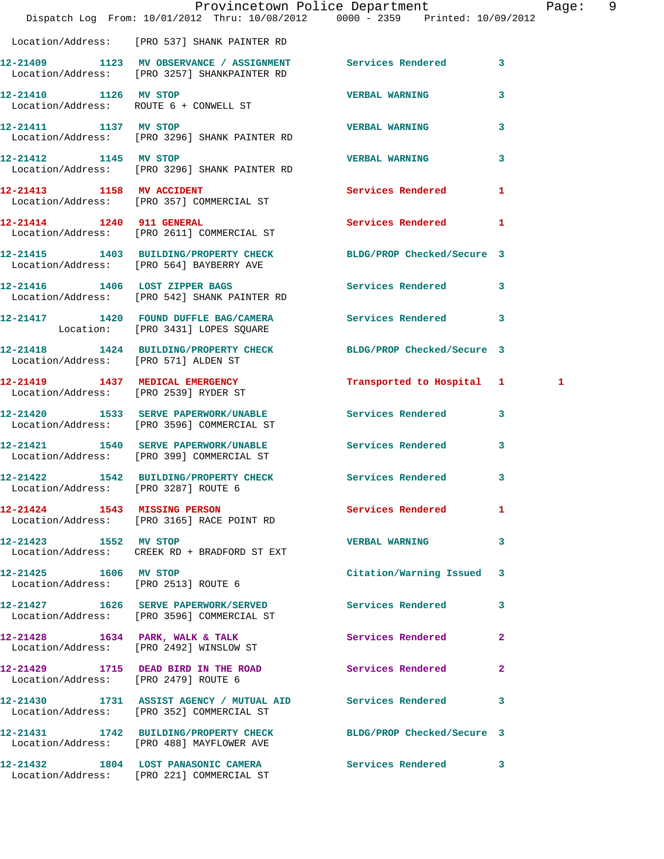|                                       | Dispatch Log From: 10/01/2012 Thru: 10/08/2012 0000 - 2359 Printed: 10/09/2012                                | Provincetown Police Department |              | Page: 9 |  |
|---------------------------------------|---------------------------------------------------------------------------------------------------------------|--------------------------------|--------------|---------|--|
|                                       | Location/Address: [PRO 537] SHANK PAINTER RD                                                                  |                                |              |         |  |
|                                       | 12-21409 1123 MV OBSERVANCE / ASSIGNMENT Services Rendered 3<br>Location/Address: [PRO 3257] SHANKPAINTER RD  |                                |              |         |  |
|                                       | 12-21410 1126 MV STOP<br>Location/Address: ROUTE 6 + CONWELL ST                                               | <b>VERBAL WARNING</b>          | 3            |         |  |
| 12-21411 1137 MV STOP                 | Location/Address: [PRO 3296] SHANK PAINTER RD                                                                 | VERBAL WARNING 3               |              |         |  |
| 12-21412 1145 MV STOP                 | Location/Address: [PRO 3296] SHANK PAINTER RD                                                                 | <b>VERBAL WARNING</b>          | 3            |         |  |
| 12-21413 1158 MV ACCIDENT             | Location/Address: [PRO 357] COMMERCIAL ST                                                                     | Services Rendered 1            |              |         |  |
|                                       | 12-21414 1240 911 GENERAL<br>Location/Address: [PRO 2611] COMMERCIAL ST                                       | Services Rendered              | $\mathbf{1}$ |         |  |
|                                       | 12-21415 1403 BUILDING/PROPERTY CHECK BLDG/PROP Checked/Secure 3<br>Location/Address: [PRO 564] BAYBERRY AVE  |                                |              |         |  |
|                                       | 12-21416 1406 LOST ZIPPER BAGS<br>Location/Address: [PRO 542] SHANK PAINTER RD                                | Services Rendered 3            |              |         |  |
|                                       | 12-21417 1420 FOUND DUFFLE BAG/CAMERA Services Rendered 3<br>Location: [PRO 3431] LOPES SQUARE                |                                |              |         |  |
| Location/Address: [PRO 571] ALDEN ST  | 12-21418 1424 BUILDING/PROPERTY CHECK BLDG/PROP Checked/Secure 3                                              |                                |              |         |  |
| Location/Address: [PRO 2539] RYDER ST | 12-21419 1437 MEDICAL EMERGENCY                                                                               | Transported to Hospital 1      |              | 1       |  |
|                                       | 12-21420 1533 SERVE PAPERWORK/UNABLE Services Rendered 3<br>Location/Address: [PRO 3596] COMMERCIAL ST        |                                |              |         |  |
|                                       | 12-21421 1540 SERVE PAPERWORK/UNABLE Services Rendered<br>Location/Address: [PRO 399] COMMERCIAL ST           |                                | 3            |         |  |
| Location/Address: [PRO 3287] ROUTE 6  | 12-21422 1542 BUILDING/PROPERTY CHECK Services Rendered 3                                                     |                                |              |         |  |
|                                       | 12-21424 1543 MISSING PERSON<br>Location/Address: [PRO 3165] RACE POINT RD                                    | <b>Services Rendered</b>       | 1            |         |  |
| 12-21423 1552 MV STOP                 | Location/Address: CREEK RD + BRADFORD ST EXT                                                                  | <b>VERBAL WARNING</b>          | 3            |         |  |
| 12-21425 1606 MV STOP                 | Location/Address: [PRO 2513] ROUTE 6                                                                          | Citation/Warning Issued 3      |              |         |  |
|                                       | 12-21427 1626 SERVE PAPERWORK/SERVED Services Rendered<br>Location/Address: [PRO 3596] COMMERCIAL ST          |                                | 3            |         |  |
|                                       | 12-21428 1634 PARK, WALK & TALK<br>Location/Address: [PRO 2492] WINSLOW ST                                    | Services Rendered              | $\mathbf{2}$ |         |  |
| Location/Address: [PRO 2479] ROUTE 6  | 12-21429 1715 DEAD BIRD IN THE ROAD                                                                           | Services Rendered              | $\mathbf{2}$ |         |  |
|                                       | 12-21430 1731 ASSIST AGENCY / MUTUAL AID Services Rendered<br>Location/Address: [PRO 352] COMMERCIAL ST       |                                | 3            |         |  |
|                                       | 12-21431 1742 BUILDING/PROPERTY CHECK BLDG/PROP Checked/Secure 3<br>Location/Address: [PRO 488] MAYFLOWER AVE |                                |              |         |  |
|                                       | 12-21432 1804 LOST PANASONIC CAMERA Services Rendered 3<br>Location/Address: [PRO 221] COMMERCIAL ST          |                                |              |         |  |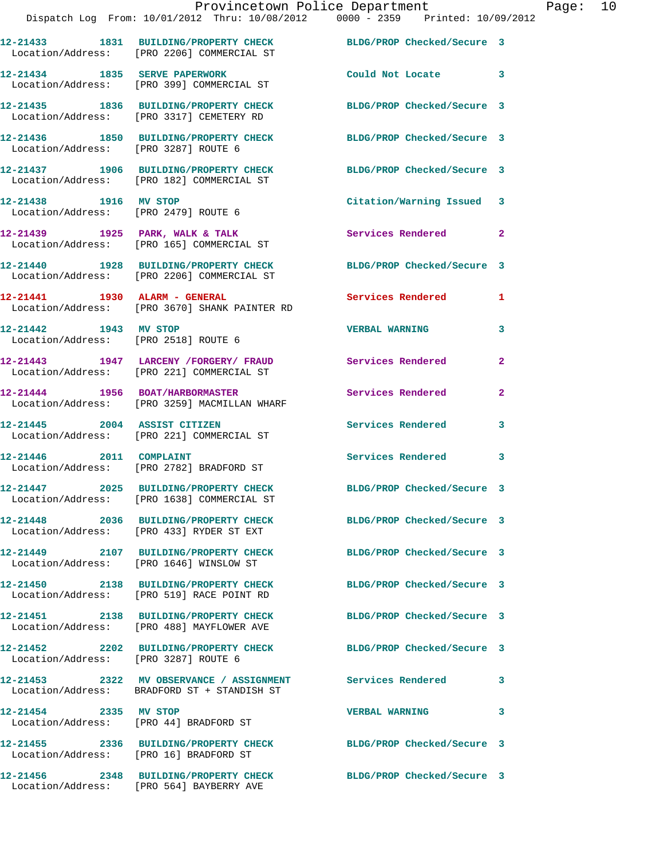|                                                                 | Provincetown Police Department<br>Dispatch Log From: 10/01/2012 Thru: 10/08/2012 0000 - 2359 Printed: 10/09/2012 |                            |                |
|-----------------------------------------------------------------|------------------------------------------------------------------------------------------------------------------|----------------------------|----------------|
|                                                                 | 12-21433 1831 BUILDING/PROPERTY CHECK BLDG/PROP Checked/Secure 3<br>Location/Address: [PRO 2206] COMMERCIAL ST   |                            |                |
|                                                                 | 12-21434 1835 SERVE PAPERWORK<br>Location/Address: [PRO 399] COMMERCIAL ST                                       | Could Not Locate           | 3              |
|                                                                 | 12-21435 1836 BUILDING/PROPERTY CHECK<br>Location/Address: [PRO 3317] CEMETERY RD                                | BLDG/PROP Checked/Secure 3 |                |
| Location/Address: [PRO 3287] ROUTE 6                            | 12-21436 1850 BUILDING/PROPERTY CHECK BLDG/PROP Checked/Secure 3                                                 |                            |                |
|                                                                 | 12-21437 1906 BUILDING/PROPERTY CHECK<br>Location/Address: [PRO 182] COMMERCIAL ST                               | BLDG/PROP Checked/Secure 3 |                |
| 12-21438 1916 MV STOP                                           | Location/Address: [PRO 2479] ROUTE 6                                                                             | Citation/Warning Issued 3  |                |
|                                                                 | 12-21439 1925 PARK, WALK & TALK<br>Location/Address: [PRO 165] COMMERCIAL ST                                     | <b>Services Rendered</b>   | $\overline{2}$ |
|                                                                 | 12-21440 1928 BUILDING/PROPERTY CHECK BLDG/PROP Checked/Secure 3<br>Location/Address: [PRO 2206] COMMERCIAL ST   |                            |                |
|                                                                 | Location/Address: [PRO 3670] SHANK PAINTER RD                                                                    | <b>Services Rendered</b>   | 1              |
| 12-21442   1943 MV STOP<br>Location/Address: [PRO 2518] ROUTE 6 |                                                                                                                  | <b>VERBAL WARNING</b>      | 3              |
|                                                                 | 12-21443 1947 LARCENY /FORGERY / FRAUD Services Rendered<br>Location/Address: [PRO 221] COMMERCIAL ST            |                            | $\overline{a}$ |
|                                                                 | 12-21444 1956 BOAT/HARBORMASTER<br>Location/Address: [PRO 3259] MACMILLAN WHARF                                  | Services Rendered          | $\mathbf{2}$   |
| 12-21445 2004 ASSIST CITIZEN                                    | Location/Address: [PRO 221] COMMERCIAL ST                                                                        | <b>Services Rendered</b>   | 3              |
|                                                                 | 12-21446 2011 COMPLAINT<br>Location/Address: [PRO 2782] BRADFORD ST                                              | <b>Services Rendered</b>   | 3              |
|                                                                 | 12-21447 2025 BUILDING/PROPERTY CHECK<br>Location/Address: [PRO 1638] COMMERCIAL ST                              | BLDG/PROP Checked/Secure 3 |                |
|                                                                 | 12-21448 2036 BUILDING/PROPERTY CHECK<br>Location/Address: [PRO 433] RYDER ST EXT                                | BLDG/PROP Checked/Secure 3 |                |
|                                                                 | 12-21449 2107 BUILDING/PROPERTY CHECK<br>Location/Address: [PRO 1646] WINSLOW ST                                 | BLDG/PROP Checked/Secure 3 |                |
|                                                                 | 12-21450 2138 BUILDING/PROPERTY CHECK<br>Location/Address: [PRO 519] RACE POINT RD                               | BLDG/PROP Checked/Secure 3 |                |
|                                                                 | 12-21451 2138 BUILDING/PROPERTY CHECK<br>Location/Address: [PRO 488] MAYFLOWER AVE                               | BLDG/PROP Checked/Secure 3 |                |
| Location/Address: [PRO 3287] ROUTE 6                            | 12-21452 2202 BUILDING/PROPERTY CHECK                                                                            | BLDG/PROP Checked/Secure 3 |                |
|                                                                 | 12-21453 2322 MV OBSERVANCE / ASSIGNMENT Services Rendered<br>Location/Address: BRADFORD ST + STANDISH ST        |                            | 3              |
| 12-21454 2335 MV STOP                                           | Location/Address: [PRO 44] BRADFORD ST                                                                           | <b>VERBAL WARNING</b>      | 3              |
| Location/Address: [PRO 16] BRADFORD ST                          | 12-21455 2336 BUILDING/PROPERTY CHECK BLDG/PROP Checked/Secure 3                                                 |                            |                |
|                                                                 | 12-21456  2348 BUILDING/PROPERTY CHECK BLDG/PROP Checked/Secure 3                                                |                            |                |

Location/Address: [PRO 564] BAYBERRY AVE

Page:  $10$ <br> $12$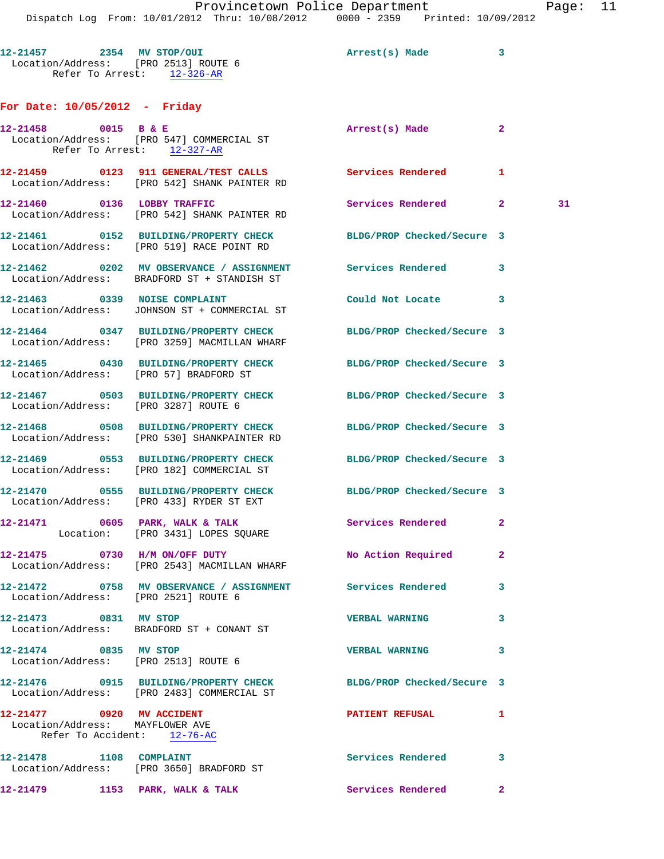Dispatch Log From: 10/01/2012 Thru: 10/08/2012 0000 - 2359 Printed: 10/09/2012 **12-21457 2354 MV STOP/OUI Arrest(s) Made 3**  Location/Address: [PRO 2513] ROUTE 6 Refer To Arrest: 12-326-AR **For Date: 10/05/2012 - Friday 12-21458 0015 B & E Arrest(s) Made 2**  Location/Address: [PRO 547] COMMERCIAL ST Refer To Arrest: 12-327-AR **12-21459 0123 911 GENERAL/TEST CALLS Services Rendered 1**  Location/Address: [PRO 542] SHANK PAINTER RD **12-21460 0136 LOBBY TRAFFIC Services Rendered 2 31**  Location/Address: [PRO 542] SHANK PAINTER RD **12-21461 0152 BUILDING/PROPERTY CHECK BLDG/PROP Checked/Secure 3**  Location/Address: [PRO 519] RACE POINT RD **12-21462 0202 MV OBSERVANCE / ASSIGNMENT Services Rendered 3**  Location/Address: BRADFORD ST + STANDISH ST **12-21463 0339 NOISE COMPLAINT Could Not Locate 3**  Location/Address: JOHNSON ST + COMMERCIAL ST **12-21464 0347 BUILDING/PROPERTY CHECK BLDG/PROP Checked/Secure 3**  Location/Address: [PRO 3259] MACMILLAN WHARF **12-21465 0430 BUILDING/PROPERTY CHECK BLDG/PROP Checked/Secure 3**  Location/Address: [PRO 57] BRADFORD ST **12-21467 0503 BUILDING/PROPERTY CHECK BLDG/PROP Checked/Secure 3**  Location/Address: [PRO 3287] ROUTE 6 **12-21468 0508 BUILDING/PROPERTY CHECK BLDG/PROP Checked/Secure 3**  Location/Address: [PRO 530] SHANKPAINTER RD **12-21469 0553 BUILDING/PROPERTY CHECK BLDG/PROP Checked/Secure 3**  Location/Address: [PRO 182] COMMERCIAL ST **12-21470 0555 BUILDING/PROPERTY CHECK BLDG/PROP Checked/Secure 3**  Location/Address: [PRO 433] RYDER ST EXT 12-21471 0605 PARK, WALK & TALK Services Rendered 2 Location: [PRO 3431] LOPES SQUARE **12-21475 0730 H/M ON/OFF DUTY No Action Required 2**  Location/Address: [PRO 2543] MACMILLAN WHARF **12-21472 0758 MV OBSERVANCE / ASSIGNMENT Services Rendered 3**  Location/Address: [PRO 2521] ROUTE 6 **12-21473 0831 MV STOP VERBAL WARNING 3** 

 Location/Address: BRADFORD ST + CONANT ST **12-21474 0835 MV STOP VERBAL WARNING 3**  Location/Address: [PRO 2513] ROUTE 6 **12-21476 0915 BUILDING/PROPERTY CHECK BLDG/PROP Checked/Secure 3**  Location/Address: [PRO 2483] COMMERCIAL ST **12-21477 0920 MV ACCIDENT PATIENT REFUSAL 1**  Location/Address: MAYFLOWER AVE Refer To Accident: 12-76-AC **12-21478 1108 COMPLAINT Services Rendered 3**  Location/Address: [PRO 3650] BRADFORD ST **12-21479 1153 PARK, WALK & TALK Services Rendered 2**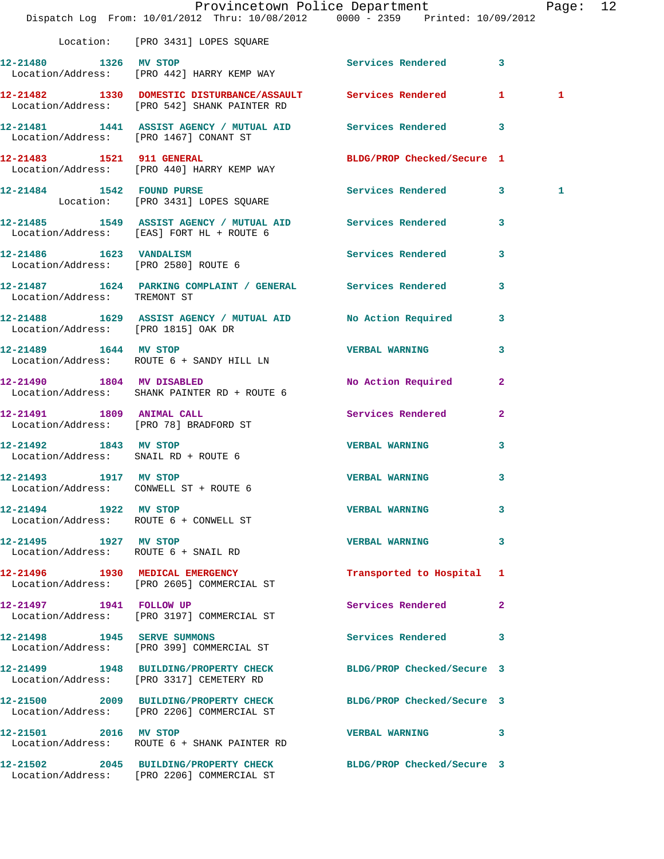|                                                               | Dispatch Log From: 10/01/2012 Thru: 10/08/2012 0000 - 2359 Printed: 10/09/2012                                 | Provincetown Police Department |              | Page: 12 |  |
|---------------------------------------------------------------|----------------------------------------------------------------------------------------------------------------|--------------------------------|--------------|----------|--|
|                                                               | Location: [PRO 3431] LOPES SQUARE                                                                              |                                |              |          |  |
| 12-21480 1326 MV STOP                                         | Location/Address: [PRO 442] HARRY KEMP WAY                                                                     | Services Rendered 3            |              |          |  |
|                                                               | 12-21482 1330 DOMESTIC DISTURBANCE/ASSAULT Services Rendered 1<br>Location/Address: [PRO 542] SHANK PAINTER RD |                                |              | 1        |  |
| Location/Address: [PRO 1467] CONANT ST                        | 12-21481 1441 ASSIST AGENCY / MUTUAL AID Services Rendered 3                                                   |                                |              |          |  |
|                                                               | 12-21483 1521 911 GENERAL<br>Location/Address: [PRO 440] HARRY KEMP WAY                                        | BLDG/PROP Checked/Secure 1     |              |          |  |
|                                                               | 12-21484 1542 FOUND PURSE SQUARE Services Rendered 3<br>Location: [PRO 3431] LOPES SQUARE                      |                                |              | 1        |  |
|                                                               | 12-21485 1549 ASSIST AGENCY / MUTUAL AID Services Rendered 3<br>Location/Address: [EAS] FORT HL + ROUTE 6      |                                |              |          |  |
| Location/Address: [PRO 2580] ROUTE 6                          | 12-21486    1623    VANDALISM                                                                                  | Services Rendered 3            |              |          |  |
| Location/Address: TREMONT ST                                  | 12-21487 1624 PARKING COMPLAINT / GENERAL Services Rendered 3                                                  |                                |              |          |  |
| Location/Address: [PRO 1815] OAK DR                           | 12-21488 1629 ASSIST AGENCY / MUTUAL AID No Action Required 3                                                  |                                |              |          |  |
| 12-21489   1644 MV STOP                                       | Location/Address: ROUTE 6 + SANDY HILL LN                                                                      | VERBAL WARNING 3               |              |          |  |
| 12-21490 1804 MV DISABLED                                     | Location/Address: SHANK PAINTER RD + ROUTE 6                                                                   | No Action Required 2           |              |          |  |
| 12-21491 1809 ANIMAL CALL                                     | Location/Address: [PRO 78] BRADFORD ST                                                                         | Services Rendered 2            |              |          |  |
| 12-21492 1843 MV STOP<br>Location/Address: SNAIL RD + ROUTE 6 |                                                                                                                | <b>VERBAL WARNING</b>          | 3            |          |  |
| 12-21493 1917 MV STOP                                         | Location/Address: CONWELL ST + ROUTE 6                                                                         | <b>VERBAL WARNING</b>          | $\mathbf{3}$ |          |  |
| 12-21494 1922 MV STOP                                         | Location/Address: ROUTE 6 + CONWELL ST                                                                         | <b>VERBAL WARNING</b>          | 3            |          |  |
| 12-21495    1927 MV STOP                                      | Location/Address: ROUTE 6 + SNAIL RD                                                                           | <b>VERBAL WARNING</b>          | 3            |          |  |
|                                                               | 12-21496 1930 MEDICAL EMERGENCY<br>Location/Address: [PRO 2605] COMMERCIAL ST                                  | Transported to Hospital 1      |              |          |  |
|                                                               | 12-21497   1941   FOLLOW UP<br>Location/Address: [PRO 3197] COMMERCIAL ST                                      | Services Rendered 2            |              |          |  |
|                                                               | 12-21498    1945    SERVE SUMMONS<br>Location/Address: [PRO 399] COMMERCIAL ST                                 | Services Rendered 3            |              |          |  |
|                                                               | 12-21499 1948 BUILDING/PROPERTY CHECK BLDG/PROP Checked/Secure 3<br>Location/Address: [PRO 3317] CEMETERY RD   |                                |              |          |  |
|                                                               | 12-21500 2009 BUILDING/PROPERTY CHECK<br>Location/Address: [PRO 2206] COMMERCIAL ST                            | BLDG/PROP Checked/Secure 3     |              |          |  |
| 12-21501 2016 MV STOP                                         | Location/Address: ROUTE 6 + SHANK PAINTER RD                                                                   | VERBAL WARNING 3               |              |          |  |
|                                                               | 12-21502 2045 BUILDING/PROPERTY CHECK BLDG/PROP Checked/Secure 3<br>Location/Address: [PRO 2206] COMMERCIAL ST |                                |              |          |  |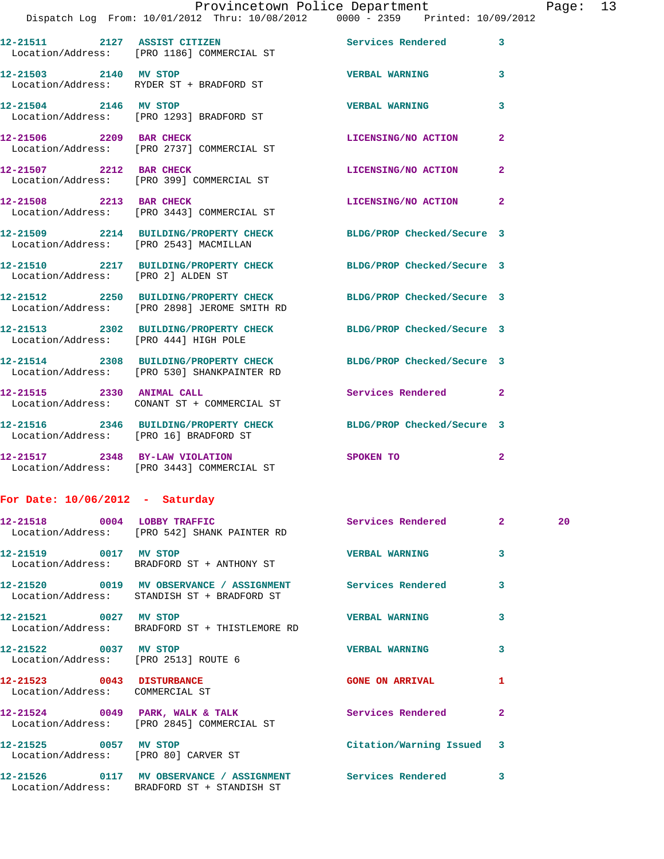|                                        | Dispatch Log From: 10/01/2012 Thru: 10/08/2012 0000 - 2359 Printed: 10/09/2012                                  |                            |                         |
|----------------------------------------|-----------------------------------------------------------------------------------------------------------------|----------------------------|-------------------------|
|                                        | 12-21511 2127 ASSIST CITIZEN<br>Location/Address: [PRO 1186] COMMERCIAL ST                                      | <b>Services Rendered</b>   | 3                       |
| 12-21503 2140 MV STOP                  | Location/Address: RYDER ST + BRADFORD ST                                                                        | <b>VERBAL WARNING</b>      | $\overline{\mathbf{3}}$ |
| 12-21504 2146 MV STOP                  | Location/Address: [PRO 1293] BRADFORD ST                                                                        | <b>VERBAL WARNING</b>      | 3                       |
| 12-21506 2209 BAR CHECK                | Location/Address: [PRO 2737] COMMERCIAL ST                                                                      | LICENSING/NO ACTION        | $\overline{2}$          |
| 12-21507 2212 BAR CHECK                | Location/Address: [PRO 399] COMMERCIAL ST                                                                       | <b>LICENSING/NO ACTION</b> | $\mathbf{2}$            |
|                                        | 12-21508 2213 BAR CHECK<br>Location/Address: [PRO 3443] COMMERCIAL ST                                           | LICENSING/NO ACTION        | $\overline{2}$          |
| Location/Address: [PRO 2543] MACMILLAN | 12-21509 2214 BUILDING/PROPERTY CHECK BLDG/PROP Checked/Secure 3                                                |                            |                         |
| Location/Address: [PRO 2] ALDEN ST     | 12-21510 2217 BUILDING/PROPERTY CHECK BLDG/PROP Checked/Secure 3                                                |                            |                         |
|                                        | 12-21512 2250 BUILDING/PROPERTY CHECK<br>Location/Address: [PRO 2898] JEROME SMITH RD                           | BLDG/PROP Checked/Secure 3 |                         |
| Location/Address: [PRO 444] HIGH POLE  | 12-21513 2302 BUILDING/PROPERTY CHECK                                                                           | BLDG/PROP Checked/Secure 3 |                         |
|                                        | 12-21514 2308 BUILDING/PROPERTY CHECK BLDG/PROP Checked/Secure 3<br>Location/Address: [PRO 530] SHANKPAINTER RD |                            |                         |
| 12-21515 2330 ANIMAL CALL              | Location/Address: CONANT ST + COMMERCIAL ST                                                                     | <b>Services Rendered</b>   | $\overline{2}$          |
| Location/Address: [PRO 16] BRADFORD ST | 12-21516 2346 BUILDING/PROPERTY CHECK BLDG/PROP Checked/Secure 3                                                |                            |                         |
|                                        | 12-21517 2348 BY-LAW VIOLATION<br>Location/Address: [PRO 3443] COMMERCIAL ST                                    | SPOKEN TO                  | $\mathbf{2}$            |

## **For Date: 10/06/2012 - Saturday**

|                                                               | 12-21518 0004 LOBBY TRAFFIC<br>Location/Address: [PRO 542] SHANK PAINTER RD                                           | Services Rendered 2       |                         | 20 |
|---------------------------------------------------------------|-----------------------------------------------------------------------------------------------------------------------|---------------------------|-------------------------|----|
| 12-21519 0017 MV STOP                                         | Location/Address: BRADFORD ST + ANTHONY ST                                                                            | <b>VERBAL WARNING</b>     | $\overline{\mathbf{3}}$ |    |
|                                                               | 12-21520 0019 MV OBSERVANCE / ASSIGNMENT Services Rendered<br>Location/Address: STANDISH ST + BRADFORD ST             |                           | $\overline{\mathbf{3}}$ |    |
|                                                               | 12-21521 0027 MV STOP<br>Location/Address: BRADFORD ST + THISTLEMORE RD                                               | <b>VERBAL WARNING</b>     | $\overline{\mathbf{3}}$ |    |
| 12-21522 0037 MV STOP<br>Location/Address: [PRO 2513] ROUTE 6 |                                                                                                                       | <b>VERBAL WARNING</b>     | $\overline{\mathbf{3}}$ |    |
| 12-21523 0043 DISTURBANCE<br>Location/Address: COMMERCIAL ST  |                                                                                                                       | <b>GONE ON ARRIVAL</b>    | 1                       |    |
|                                                               | 12-21524 0049 PARK, WALK & TALK Services Rendered<br>Location/Address: [PRO 2845] COMMERCIAL ST                       |                           | $\overline{2}$          |    |
| Location/Address: [PRO 80] CARVER ST                          | 12-21525 0057 MV STOP                                                                                                 | Citation/Warning Issued 3 |                         |    |
|                                                               | 12-21526      0117   MV OBSERVANCE / ASSIGNMENT      Services Rendered<br>Location/Address: BRADFORD ST + STANDISH ST |                           | 3                       |    |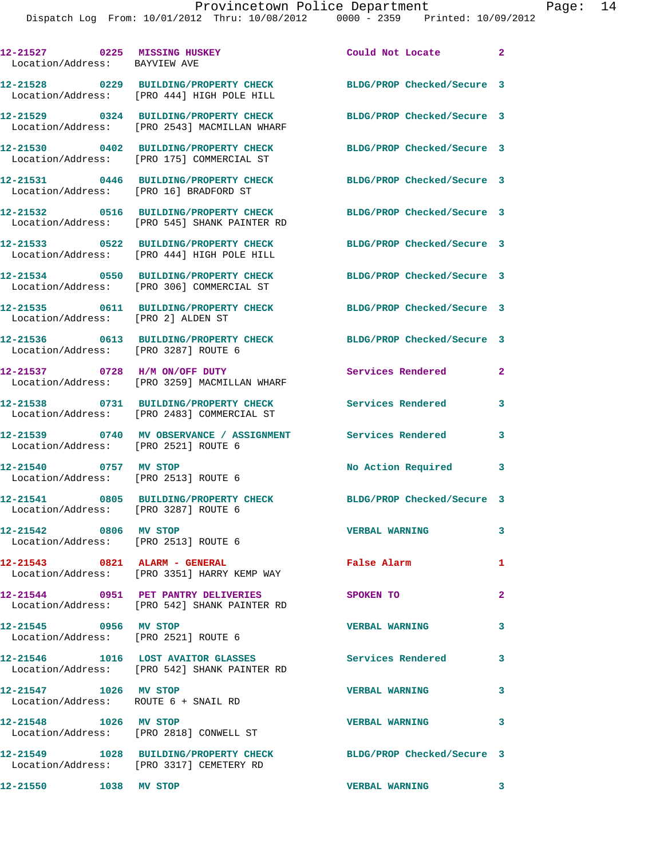| 12-21527 0225 MISSING HUSKEY<br>Location/Address: BAYVIEW AVE |                                                                                                          | Could Not Locate 2                              |              |
|---------------------------------------------------------------|----------------------------------------------------------------------------------------------------------|-------------------------------------------------|--------------|
|                                                               | 12-21528 0229 BUILDING/PROPERTY CHECK<br>Location/Address: [PRO 444] HIGH POLE HILL                      | BLDG/PROP Checked/Secure 3                      |              |
|                                                               | 12-21529 0324 BUILDING/PROPERTY CHECK<br>Location/Address: [PRO 2543] MACMILLAN WHARF                    | BLDG/PROP Checked/Secure 3                      |              |
|                                                               | 12-21530 0402 BUILDING/PROPERTY CHECK<br>Location/Address: [PRO 175] COMMERCIAL ST                       | BLDG/PROP Checked/Secure 3                      |              |
| Location/Address: [PRO 16] BRADFORD ST                        | 12-21531 0446 BUILDING/PROPERTY CHECK                                                                    | BLDG/PROP Checked/Secure 3                      |              |
|                                                               | 12-21532 0516 BUILDING/PROPERTY CHECK<br>Location/Address: [PRO 545] SHANK PAINTER RD                    | BLDG/PROP Checked/Secure 3                      |              |
|                                                               | 12-21533 0522 BUILDING/PROPERTY CHECK<br>Location/Address: [PRO 444] HIGH POLE HILL                      | BLDG/PROP Checked/Secure 3                      |              |
|                                                               | 12-21534 0550 BUILDING/PROPERTY CHECK<br>Location/Address: [PRO 306] COMMERCIAL ST                       | BLDG/PROP Checked/Secure 3                      |              |
| Location/Address: [PRO 2] ALDEN ST                            | 12-21535 0611 BUILDING/PROPERTY CHECK                                                                    | BLDG/PROP Checked/Secure 3                      |              |
| Location/Address: [PRO 3287] ROUTE 6                          | 12-21536 0613 BUILDING/PROPERTY CHECK                                                                    | BLDG/PROP Checked/Secure 3                      |              |
|                                                               | 12-21537 0728 H/M ON/OFF DUTY                                                                            | Services Rendered                               | $\mathbf{2}$ |
|                                                               | Location/Address: [PRO 3259] MACMILLAN WHARF<br>12-21538 0731 BUILDING/PROPERTY CHECK                    | Services Rendered                               | 3            |
|                                                               | Location/Address: [PRO 2483] COMMERCIAL ST<br>12-21539 0740 MV OBSERVANCE / ASSIGNMENT Services Rendered |                                                 | 3            |
| Location/Address: [PRO 2521] ROUTE 6                          |                                                                                                          |                                                 |              |
| 12-21540 0757 MV STOP                                         | Location/Address: [PRO 2513] ROUTE 6                                                                     | No Action Required                              | 3            |
| Location/Address: [PRO 3287] ROUTE 6                          | 12-21541 0805 BUILDING/PROPERTY CHECK BLDG/PROP Checked/Secure 3                                         |                                                 |              |
| 12-21542 0806 MV STOP<br>Location/Address: [PRO 2513] ROUTE 6 |                                                                                                          | <b>VERBAL WARNING</b>                           | 3            |
|                                                               | 12-21543 0821 ALARM - GENERAL<br>Location/Address: [PRO 3351] HARRY KEMP WAY                             | False Alarm                                     | 1            |
|                                                               | 12-21544 0951 PET PANTRY DELIVERIES<br>Location/Address: [PRO 542] SHANK PAINTER RD                      | <b>SPOKEN TO</b>                                | $\mathbf{2}$ |
| 12-21545 0956 MV STOP<br>Location/Address: [PRO 2521] ROUTE 6 |                                                                                                          | <b>VERBAL WARNING</b>                           | 3            |
|                                                               | 12-21546 1016 LOST AVAITOR GLASSES<br>Location/Address: [PRO 542] SHANK PAINTER RD                       | <b>Services Rendered</b>                        | 3            |
| 12-21547 1026 MV STOP<br>Location/Address: ROUTE 6 + SNAIL RD |                                                                                                          | <b>VERBAL WARNING</b>                           | 3            |
| 12-21548 1026 MV STOP                                         | Location/Address: [PRO 2818] CONWELL ST                                                                  | <b>VERBAL WARNING</b>                           | 3            |
|                                                               | 12-21549 1028 BUILDING/PROPERTY CHECK<br>Location/Address: [PRO 3317] CEMETERY RD                        | BLDG/PROP Checked/Secure 3                      |              |
| 12-21550 1038 MV STOP                                         |                                                                                                          | $\sim$ $\sim$ $\sim$ 3<br><b>VERBAL WARNING</b> |              |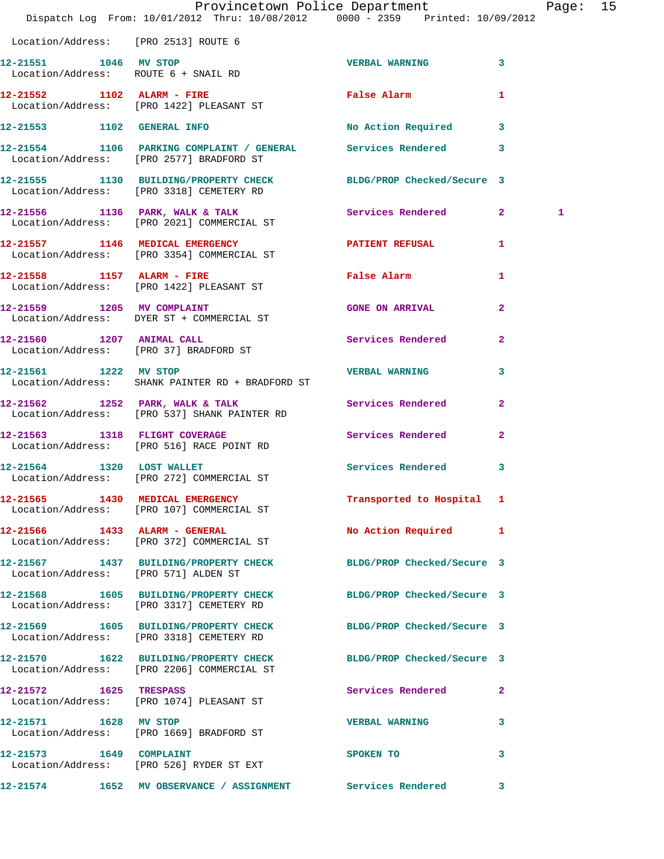|                                      | Dispatch Log From: 10/01/2012 Thru: 10/08/2012 0000 - 2359 Printed: 10/09/2012                                 | Provincetown Police Department       |                | Page: 15 |  |
|--------------------------------------|----------------------------------------------------------------------------------------------------------------|--------------------------------------|----------------|----------|--|
| Location/Address: [PRO 2513] ROUTE 6 |                                                                                                                |                                      |                |          |  |
| 12-21551 1046 MV STOP                | Location/Address: ROUTE 6 + SNAIL RD                                                                           | VERBAL WARNING 3                     |                |          |  |
|                                      | 12-21552 1102 ALARM - FIRE<br>Location/Address: [PRO 1422] PLEASANT ST                                         | False Alarm <b>Francisco Execute</b> | 1              |          |  |
|                                      | 12-21553 1102 GENERAL INFO                                                                                     | No Action Required 3                 |                |          |  |
|                                      | 12-21554 1106 PARKING COMPLAINT / GENERAL Services Rendered 3<br>Location/Address: [PRO 2577] BRADFORD ST      |                                      |                |          |  |
|                                      | 12-21555 1130 BUILDING/PROPERTY CHECK BLDG/PROP Checked/Secure 3<br>Location/Address: [PRO 3318] CEMETERY RD   |                                      |                |          |  |
|                                      | 12-21556 1136 PARK, WALK & TALK Services Rendered 2<br>Location/Address: [PRO 2021] COMMERCIAL ST              |                                      |                | 1        |  |
|                                      | 12-21557 1146 MEDICAL EMERGENCY PATIENT REFUSAL 1<br>Location/Address: [PRO 3354] COMMERCIAL ST                |                                      |                |          |  |
|                                      | 12-21558 1157 ALARM - FIRE<br>Location/Address: [PRO 1422] PLEASANT ST                                         | False Alarm <b>Example 2</b>         | 1              |          |  |
|                                      | 12-21559 1205 MV COMPLAINT<br>Location/Address: DYER ST + COMMERCIAL ST                                        | <b>GONE ON ARRIVAL</b>               | $\mathbf{2}$   |          |  |
|                                      | 12-21560 1207 ANIMAL CALL<br>Location/Address: [PRO 37] BRADFORD ST                                            | Services Rendered                    | $\mathbf{2}$   |          |  |
| 12-21561 1222 MV STOP                | Location/Address: SHANK PAINTER RD + BRADFORD ST                                                               | <b>VERBAL WARNING</b>                | 3              |          |  |
|                                      | 12-21562 1252 PARK, WALK & TALK Services Rendered<br>Location/Address: [PRO 537] SHANK PAINTER RD              |                                      | $\overline{2}$ |          |  |
|                                      | 12-21563 1318 FLIGHT COVERAGE<br>Location/Address: [PRO 516] RACE POINT RD                                     | Services Rendered                    | $\mathbf{2}$   |          |  |
|                                      | 12-21564 1320 LOST WALLET<br>Location/Address: [PRO 272] COMMERCIAL ST                                         | Services Rendered 3                  |                |          |  |
|                                      | 12-21565 1430 MEDICAL EMERGENCY<br>Location/Address: [PRO 107] COMMERCIAL ST                                   | Transported to Hospital 1            |                |          |  |
|                                      | 12-21566 1433 ALARM - GENERAL<br>Location/Address: [PRO 372] COMMERCIAL ST                                     | No Action Required 1                 |                |          |  |
| Location/Address: [PRO 571] ALDEN ST | 12-21567 1437 BUILDING/PROPERTY CHECK BLDG/PROP Checked/Secure 3                                               |                                      |                |          |  |
|                                      | 12-21568 1605 BUILDING/PROPERTY CHECK<br>Location/Address: [PRO 3317] CEMETERY RD                              | BLDG/PROP Checked/Secure 3           |                |          |  |
|                                      | 12-21569 1605 BUILDING/PROPERTY CHECK BLDG/PROP Checked/Secure 3<br>Location/Address: [PRO 3318] CEMETERY RD   |                                      |                |          |  |
|                                      | 12-21570 1622 BUILDING/PROPERTY CHECK BLDG/PROP Checked/Secure 3<br>Location/Address: [PRO 2206] COMMERCIAL ST |                                      |                |          |  |
| 12-21572 1625 TRESPASS               | Location/Address: [PRO 1074] PLEASANT ST                                                                       | Services Rendered                    | $\mathbf{2}$   |          |  |
| 12-21571 1628 MV STOP                | Location/Address: [PRO 1669] BRADFORD ST                                                                       | <b>VERBAL WARNING</b>                | 3              |          |  |
|                                      | 12-21573 1649 COMPLAINT<br>Location/Address: [PRO 526] RYDER ST EXT                                            | SPOKEN TO                            | 3              |          |  |
|                                      | 12-21574 1652 MV OBSERVANCE / ASSIGNMENT Services Rendered 3                                                   |                                      |                |          |  |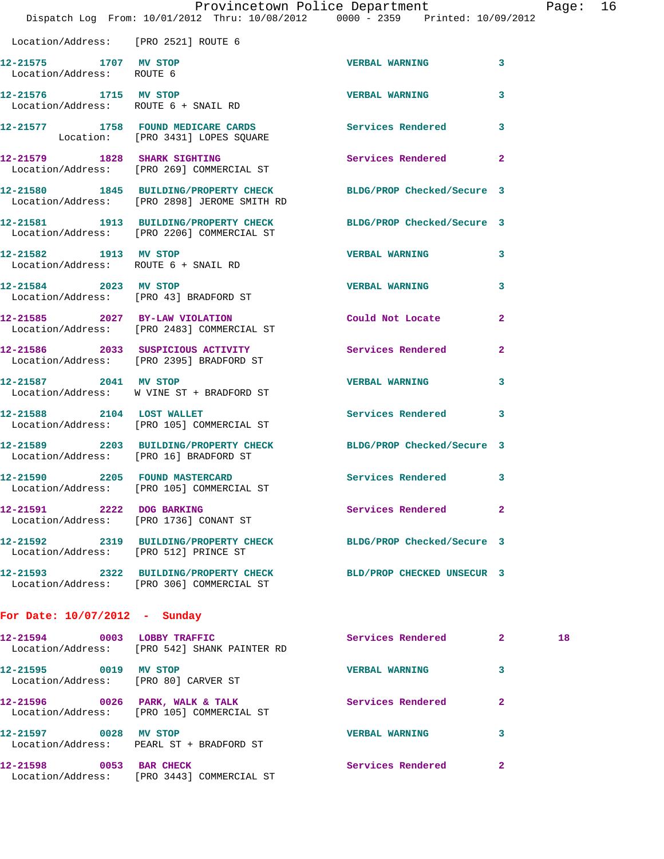|                                                               | Dispatch Log From: 10/01/2012 Thru: 10/08/2012 0000 - 2359 Printed: 10/09/2012                                         | Provincetown Police Department |                | Page: 16 |  |
|---------------------------------------------------------------|------------------------------------------------------------------------------------------------------------------------|--------------------------------|----------------|----------|--|
| Location/Address: [PRO 2521] ROUTE 6                          |                                                                                                                        |                                |                |          |  |
| 12-21575 1707 MV STOP<br>Location/Address: ROUTE 6            |                                                                                                                        | VERBAL WARNING 3               |                |          |  |
| 12-21576 1715 MV STOP                                         | Location/Address: ROUTE 6 + SNAIL RD                                                                                   | <b>VERBAL WARNING</b>          | 3              |          |  |
|                                                               | 12-21577 1758 FOUND MEDICARE CARDS Services Rendered 3<br>Location: [PRO 3431] LOPES SQUARE                            |                                |                |          |  |
|                                                               | 12-21579 1828 SHARK SIGHTING<br>Location/Address: [PRO 269] COMMERCIAL ST                                              | Services Rendered              | $\mathbf{2}$   |          |  |
|                                                               | 12-21580 1845 BUILDING/PROPERTY CHECK BLDG/PROP Checked/Secure 3<br>Location/Address: [PRO 2898] JEROME SMITH RD       |                                |                |          |  |
|                                                               | 12-21581   1913   BUILDING/PROPERTY CHECK   BLDG/PROP Checked/Secure   3<br>Location/Address: [PRO 2206] COMMERCIAL ST |                                |                |          |  |
| 12-21582 1913 MV STOP<br>Location/Address: ROUTE 6 + SNAIL RD |                                                                                                                        | <b>VERBAL WARNING</b>          | 3              |          |  |
|                                                               | 12-21584 2023 MV STOP<br>Location/Address: [PRO 43] BRADFORD ST                                                        | <b>VERBAL WARNING</b>          | 3              |          |  |
|                                                               | 12-21585 2027 BY-LAW VIOLATION<br>Location/Address: [PRO 2483] COMMERCIAL ST                                           | Could Not Locate               | $\overline{a}$ |          |  |
|                                                               | 12-21586 2033 SUSPICIOUS ACTIVITY<br>Location/Address: [PRO 2395] BRADFORD ST                                          | Services Rendered 2            |                |          |  |
| 12-21587 2041 MV STOP                                         | Location/Address: W VINE ST + BRADFORD ST                                                                              | <b>VERBAL WARNING</b>          | 3              |          |  |
| 12-21588 2104 LOST WALLET                                     | Location/Address: [PRO 105] COMMERCIAL ST                                                                              | Services Rendered 3            |                |          |  |
| Location/Address: [PRO 16] BRADFORD ST                        | 12-21589 2203 BUILDING/PROPERTY CHECK BLDG/PROP Checked/Secure 3                                                       |                                |                |          |  |
| 12-21590 2205 FOUND MASTERCARD                                | Location/Address: [PRO 105] COMMERCIAL ST                                                                              | Services Rendered 3            |                |          |  |
|                                                               | 12-21591 2222 DOG BARKING<br>Location/Address: [PRO 1736] CONANT ST                                                    | Services Rendered 2            |                |          |  |
|                                                               | 12-21592 2319 BUILDING/PROPERTY CHECK BLDG/PROP Checked/Secure 3<br>Location/Address: [PRO 512] PRINCE ST              |                                |                |          |  |
|                                                               | 12-21593 2322 BUILDING/PROPERTY CHECK BLD/PROP CHECKED UNSECUR 3<br>Location/Address: [PRO 306] COMMERCIAL ST          |                                |                |          |  |
| For Date: $10/07/2012$ - Sunday                               |                                                                                                                        |                                |                |          |  |
|                                                               | 12-21594 0003 LOBBY TRAFFIC<br>Location/Address: [PRO 542] SHANK PAINTER RD                                            | Services Rendered 2            |                | 18       |  |
| 12-21595 0019 MV STOP                                         | Location/Address: [PRO 80] CARVER ST                                                                                   | <b>VERBAL WARNING</b>          | 3              |          |  |
|                                                               | 12-21596 0026 PARK, WALK & TALK<br>Location/Address: [PRO 105] COMMERCIAL ST                                           | Services Rendered              | $\mathbf{2}$   |          |  |
| 12-21597 0028 MV STOP                                         | Location/Address: PEARL ST + BRADFORD ST                                                                               | VERBAL WARNING 3               |                |          |  |
| 12-21598 0053 BAR CHECK                                       |                                                                                                                        | Services Rendered 2            |                |          |  |

Location/Address: [PRO 3443] COMMERCIAL ST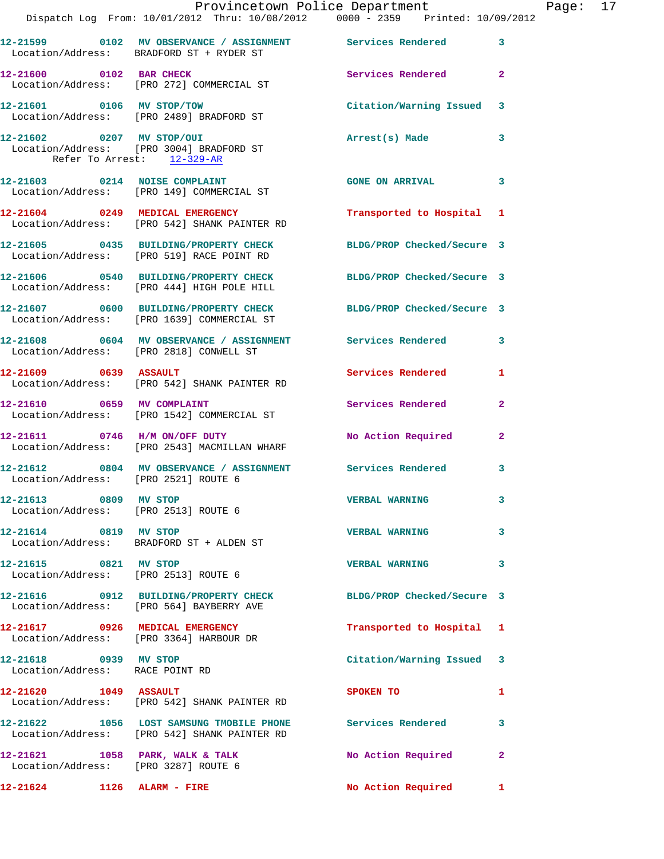|                                                          | Dispatch Log From: 10/01/2012 Thru: 10/08/2012 0000 - 2359 Printed: 10/09/2012                                 | Provincetown Police Department |              | Page: 17 |  |
|----------------------------------------------------------|----------------------------------------------------------------------------------------------------------------|--------------------------------|--------------|----------|--|
|                                                          | 12-21599 0102 MV OBSERVANCE / ASSIGNMENT Services Rendered<br>Location/Address: BRADFORD ST + RYDER ST         |                                | $\mathbf{3}$ |          |  |
| 12-21600 0102 BAR CHECK                                  | Location/Address: [PRO 272] COMMERCIAL ST                                                                      | Services Rendered              | $\mathbf{2}$ |          |  |
|                                                          | 12-21601 0106 MV STOP/TOW<br>Location/Address: [PRO 2489] BRADFORD ST                                          | Citation/Warning Issued 3      |              |          |  |
| Refer To Arrest: 12-329-AR                               | 12-21602 0207 MV STOP/OUI<br>Location/Address: [PRO 3004] BRADFORD ST                                          | Arrest(s) Made                 | 3            |          |  |
|                                                          | 12-21603 0214 NOISE COMPLAINT<br>Location/Address: [PRO 149] COMMERCIAL ST                                     | <b>GONE ON ARRIVAL</b>         | 3            |          |  |
|                                                          | 12-21604 0249 MEDICAL EMERGENCY<br>Location/Address: [PRO 542] SHANK PAINTER RD                                | Transported to Hospital 1      |              |          |  |
|                                                          | 12-21605 0435 BUILDING/PROPERTY CHECK BLDG/PROP Checked/Secure 3<br>Location/Address: [PRO 519] RACE POINT RD  |                                |              |          |  |
|                                                          | 12-21606 0540 BUILDING/PROPERTY CHECK BLDG/PROP Checked/Secure 3<br>Location/Address: [PRO 444] HIGH POLE HILL |                                |              |          |  |
|                                                          | 12-21607 0600 BUILDING/PROPERTY CHECK BLDG/PROP Checked/Secure 3<br>Location/Address: [PRO 1639] COMMERCIAL ST |                                |              |          |  |
|                                                          | 12-21608 0604 MV OBSERVANCE / ASSIGNMENT Services Rendered<br>Location/Address: [PRO 2818] CONWELL ST          |                                | $\mathbf{3}$ |          |  |
| $12-21609$ 0639 ASSAULT                                  | Location/Address: [PRO 542] SHANK PAINTER RD                                                                   | Services Rendered              | 1            |          |  |
|                                                          | 12-21610 0659 MV COMPLAINT<br>Location/Address: [PRO 1542] COMMERCIAL ST                                       | Services Rendered              | $\mathbf{2}$ |          |  |
|                                                          | 12-21611 0746 H/M ON/OFF DUTY<br>Location/Address: [PRO 2543] MACMILLAN WHARF                                  | No Action Required             | $\mathbf{2}$ |          |  |
| Location/Address: [PRO 2521] ROUTE 6                     | 12-21612 0804 MV OBSERVANCE / ASSIGNMENT Services Rendered                                                     |                                | 3            |          |  |
| 12-21613 0809 MV STOP                                    | Location/Address: [PRO 2513] ROUTE 6                                                                           | <b>VERBAL WARNING</b>          | 3            |          |  |
| 12-21614 0819 MV STOP                                    | Location/Address: BRADFORD ST + ALDEN ST                                                                       | <b>VERBAL WARNING</b>          | 3            |          |  |
| 12-21615 0821 MV STOP                                    | Location/Address: [PRO 2513] ROUTE 6                                                                           | <b>VERBAL WARNING</b>          | 3            |          |  |
|                                                          | 12-21616 0912 BUILDING/PROPERTY CHECK BLDG/PROP Checked/Secure 3<br>Location/Address: [PRO 564] BAYBERRY AVE   |                                |              |          |  |
|                                                          | 12-21617 0926 MEDICAL EMERGENCY<br>Location/Address: [PRO 3364] HARBOUR DR                                     | Transported to Hospital 1      |              |          |  |
| 12-21618 0939 MV STOP<br>Location/Address: RACE POINT RD |                                                                                                                | Citation/Warning Issued 3      |              |          |  |
| $12 - 21620$ 1049 ASSAULT                                | Location/Address: [PRO 542] SHANK PAINTER RD                                                                   | SPOKEN TO                      | 1            |          |  |
|                                                          | 12-21622 1056 LOST SAMSUNG TMOBILE PHONE Services Rendered<br>Location/Address: [PRO 542] SHANK PAINTER RD     |                                | 3            |          |  |
| Location/Address: [PRO 3287] ROUTE 6                     | 12-21621 1058 PARK, WALK & TALK                                                                                | No Action Required             | 2            |          |  |
| 12-21624 1126 ALARM - FIRE                               |                                                                                                                | No Action Required             | $\mathbf{1}$ |          |  |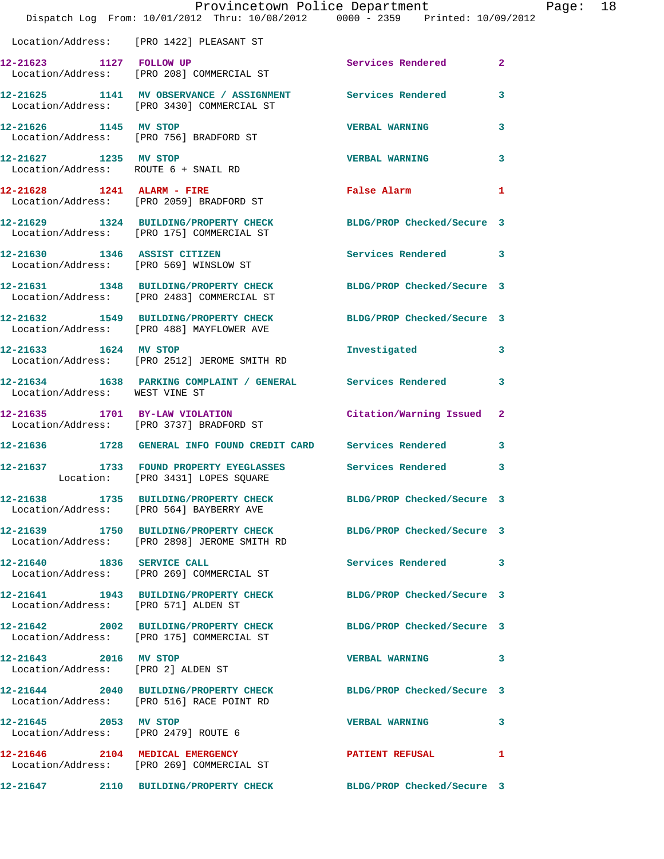|                                                               | Provincetown Police Department<br>Dispatch Log From: 10/01/2012 Thru: 10/08/2012 0000 - 2359 Printed: 10/09/2012                                       |                           |              | Page: 18 |  |
|---------------------------------------------------------------|--------------------------------------------------------------------------------------------------------------------------------------------------------|---------------------------|--------------|----------|--|
|                                                               | Location/Address: [PRO 1422] PLEASANT ST                                                                                                               |                           |              |          |  |
|                                                               | 12-21623 1127 FOLLOW UP<br>Location/Address: [PRO 208] COMMERCIAL ST                                                                                   | Services Rendered         | $\mathbf{2}$ |          |  |
|                                                               | 12-21625 1141 MV OBSERVANCE / ASSIGNMENT Services Rendered<br>Iogation/Address: Uppo 34301 COMMERCIAL ST<br>Location/Address: [PRO 3430] COMMERCIAL ST |                           | 3            |          |  |
|                                                               | 12-21626 1145 MV STOP<br>Location/Address: [PRO 756] BRADFORD ST                                                                                       | <b>VERBAL WARNING</b>     | 3            |          |  |
|                                                               | 12-21627 1235 MV STOP<br>Location/Address: ROUTE 6 + SNAIL RD                                                                                          | <b>VERBAL WARNING</b>     | 3            |          |  |
|                                                               | $12-21628$ 1241 ALARM - FIRE<br>Location/Address: [PRO 2059] BRADFORD ST                                                                               | False Alarm 1             |              |          |  |
|                                                               | 12-21629 1324 BUILDING/PROPERTY CHECK BLDG/PROP Checked/Secure 3<br>Location/Address: [PRO 175] COMMERCIAL ST                                          |                           |              |          |  |
|                                                               | 12-21630 1346 ASSIST CITIZEN<br>Location/Address: [PRO 569] WINSLOW ST                                                                                 | Services Rendered 3       |              |          |  |
|                                                               | 12-21631 1348 BUILDING/PROPERTY CHECK BLDG/PROP Checked/Secure 3<br>Location/Address: [PRO 2483] COMMERCIAL ST                                         |                           |              |          |  |
|                                                               | 12-21632 1549 BUILDING/PROPERTY CHECK BLDG/PROP Checked/Secure 3<br>Location/Address: [PRO 488] MAYFLOWER AVE                                          |                           |              |          |  |
|                                                               | 12-21633 1624 MV STOP<br>Location/Address: [PRO 2512] JEROME SMITH RD                                                                                  | Investigated              | $\mathbf{3}$ |          |  |
| Location/Address: WEST VINE ST                                | 12-21634 1638 PARKING COMPLAINT / GENERAL Services Rendered                                                                                            |                           | 3            |          |  |
|                                                               | 12-21635 1701 BY-LAW VIOLATION<br>Location/Address: [PRO 3737] BRADFORD ST                                                                             | Citation/Warning Issued 2 |              |          |  |
|                                                               | 12-21636 1728 GENERAL INFO FOUND CREDIT CARD Services Rendered                                                                                         |                           | $\mathbf{3}$ |          |  |
|                                                               | 12-21637 1733 FOUND PROPERTY EYEGLASSES Services Rendered<br>Location: [PRO 3431] LOPES SQUARE                                                         |                           | 3            |          |  |
|                                                               | 12-21638 1735 BUILDING/PROPERTY CHECK BLDG/PROP Checked/Secure 3<br>Location/Address: [PRO 564] BAYBERRY AVE                                           |                           |              |          |  |
|                                                               | 12-21639 1750 BUILDING/PROPERTY CHECK BLDG/PROP Checked/Secure 3<br>Location/Address: [PRO 2898] JEROME SMITH RD                                       |                           |              |          |  |
|                                                               | 12-21640 1836 SERVICE CALL<br>Location/Address: [PRO 269] COMMERCIAL ST                                                                                | Services Rendered 3       |              |          |  |
| Location/Address: [PRO 571] ALDEN ST                          | 12-21641 1943 BUILDING/PROPERTY CHECK BLDG/PROP Checked/Secure 3                                                                                       |                           |              |          |  |
|                                                               | 12-21642 2002 BUILDING/PROPERTY CHECK BLDG/PROP Checked/Secure 3<br>Location/Address: [PRO 175] COMMERCIAL ST                                          |                           |              |          |  |
| 12-21643 2016 MV STOP<br>Location/Address: [PRO 2] ALDEN ST   |                                                                                                                                                        | <b>VERBAL WARNING</b>     | 3            |          |  |
|                                                               | 12-21644 2040 BUILDING/PROPERTY CHECK BLDG/PROP Checked/Secure 3<br>Location/Address: [PRO 516] RACE POINT RD                                          |                           |              |          |  |
| 12-21645 2053 MV STOP<br>Location/Address: [PRO 2479] ROUTE 6 |                                                                                                                                                        | <b>VERBAL WARNING</b>     | 3            |          |  |
|                                                               | 12-21646 2104 MEDICAL EMERGENCY<br>Location/Address: [PRO 269] COMMERCIAL ST                                                                           | <b>PATIENT REFUSAL</b>    | 1            |          |  |
|                                                               | 12-21647 2110 BUILDING/PROPERTY CHECK BLDG/PROP Checked/Secure 3                                                                                       |                           |              |          |  |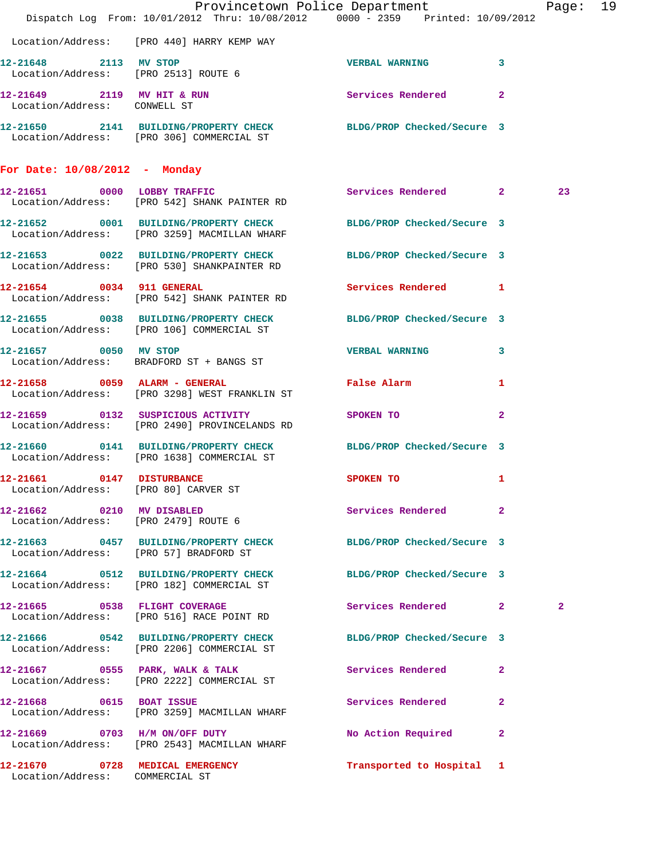|                                                            | Dispatch Log From: 10/01/2012 Thru: 10/08/2012 0000 - 2359 Printed: 10/09/2012                                   | Provincetown Police Department                                                                                       |              | Page: 19 |  |
|------------------------------------------------------------|------------------------------------------------------------------------------------------------------------------|----------------------------------------------------------------------------------------------------------------------|--------------|----------|--|
|                                                            | Location/Address: [PRO 440] HARRY KEMP WAY                                                                       |                                                                                                                      |              |          |  |
| 12-21648 2113 MV STOP                                      | Location/Address: [PRO 2513] ROUTE 6                                                                             | VERBAL WARNING 3                                                                                                     |              |          |  |
| 12-21649 2119 MV HIT & RUN<br>Location/Address: CONWELL ST |                                                                                                                  | Services Rendered 2                                                                                                  |              |          |  |
|                                                            | 12-21650 2141 BUILDING/PROPERTY CHECK BLDG/PROP Checked/Secure 3<br>Location/Address: [PRO 306] COMMERCIAL ST    |                                                                                                                      |              |          |  |
| For Date: 10/08/2012 - Monday                              |                                                                                                                  |                                                                                                                      |              |          |  |
|                                                            | 12-21651 0000 LOBBY TRAFFIC<br>Location/Address: [PRO 542] SHANK PAINTER RD                                      | Services Rendered 2                                                                                                  |              | 23       |  |
|                                                            | 12-21652 0001 BUILDING/PROPERTY CHECK BLDG/PROP Checked/Secure 3<br>Location/Address: [PRO 3259] MACMILLAN WHARF |                                                                                                                      |              |          |  |
|                                                            | 12-21653 0022 BUILDING/PROPERTY CHECK BLDG/PROP Checked/Secure 3<br>Location/Address: [PRO 530] SHANKPAINTER RD  |                                                                                                                      |              |          |  |
|                                                            | 12-21654 0034 911 GENERAL<br>Location/Address: [PRO 542] SHANK PAINTER RD                                        | Services Rendered 1                                                                                                  |              |          |  |
|                                                            | 12-21655 0038 BUILDING/PROPERTY CHECK BLDG/PROP Checked/Secure 3<br>Location/Address: [PRO 106] COMMERCIAL ST    |                                                                                                                      |              |          |  |
|                                                            | 12-21657 0050 MV STOP<br>Location/Address: BRADFORD ST + BANGS ST                                                | VERBAL WARNING 3                                                                                                     |              |          |  |
|                                                            | 12-21658 0059 ALARM - GENERAL<br>Location/Address: [PRO 3298] WEST FRANKLIN ST                                   | False Alarm                                                                                                          | $\mathbf{1}$ |          |  |
|                                                            | 12-21659 0132 SUSPICIOUS ACTIVITY<br>Location/Address: [PRO 2490] PROVINCELANDS RD                               | SPOKEN TO                                                                                                            | $\mathbf{2}$ |          |  |
|                                                            | 12-21660 0141 BUILDING/PROPERTY CHECK BLDG/PROP Checked/Secure 3<br>Location/Address: [PRO 1638] COMMERCIAL ST   |                                                                                                                      |              |          |  |
| Location/Address: [PRO 80] CARVER ST                       | 12-21661 0147 DISTURBANCE                                                                                        | SPOKEN TO AND TO A STRUCK TO A THING OF THE STRUCK OF THE STRUCK OF THE STRUCK OF THE STRUCK OF THE STRUCK OF THE ST | 1            |          |  |
| 12-21662 0210 MV DISABLED                                  | Location/Address: [PRO 2479] ROUTE 6                                                                             | Services Rendered 2                                                                                                  |              |          |  |
| Location/Address: [PRO 57] BRADFORD ST                     | 12-21663 0457 BUILDING/PROPERTY CHECK BLDG/PROP Checked/Secure 3                                                 |                                                                                                                      |              |          |  |
|                                                            | 12-21664 0512 BUILDING/PROPERTY CHECK BLDG/PROP Checked/Secure 3<br>Location/Address: [PRO 182] COMMERCIAL ST    |                                                                                                                      |              |          |  |
|                                                            | 12-21665 0538 FLIGHT COVERAGE<br>Location/Address: [PRO 516] RACE POINT RD                                       | Services Rendered 2                                                                                                  |              | 2        |  |
|                                                            | 12-21666 0542 BUILDING/PROPERTY CHECK BLDG/PROP Checked/Secure 3<br>Location/Address: [PRO 2206] COMMERCIAL ST   |                                                                                                                      |              |          |  |
|                                                            | 12-21667 0555 PARK, WALK & TALK<br>Location/Address: [PRO 2222] COMMERCIAL ST                                    | Services Rendered                                                                                                    | -2           |          |  |
| 12-21668 0615 BOAT ISSUE                                   | Location/Address: [PRO 3259] MACMILLAN WHARF                                                                     | Services Rendered 2                                                                                                  |              |          |  |
|                                                            | 12-21669 0703 H/M ON/OFF DUTY<br>Location/Address: [PRO 2543] MACMILLAN WHARF                                    | No Action Required 2                                                                                                 |              |          |  |
| Location/Address: COMMERCIAL ST                            | 12-21670 0728 MEDICAL EMERGENCY                                                                                  | Transported to Hospital 1                                                                                            |              |          |  |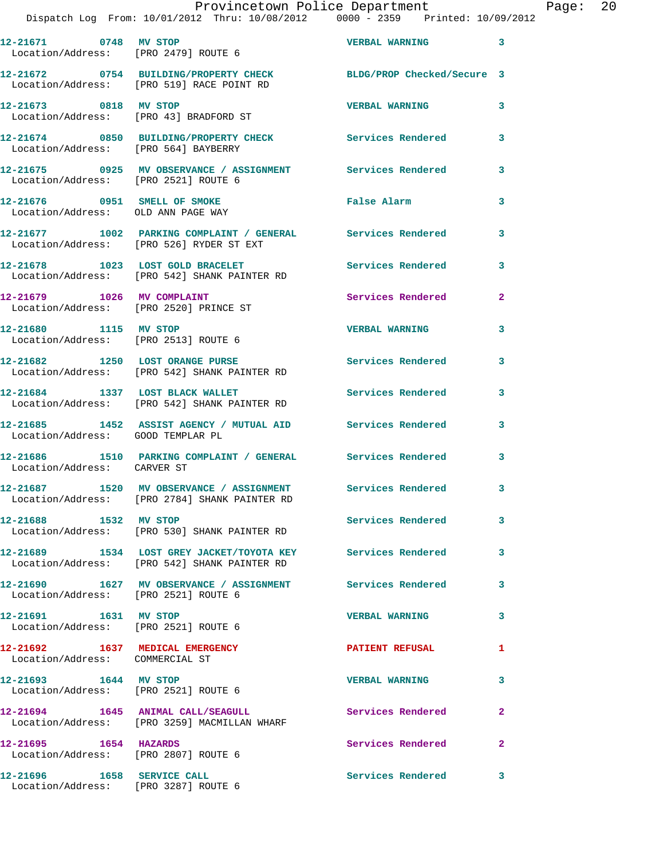|                                                                    | Provincetown Police Department The Page: 20<br>Dispatch Log From: 10/01/2012 Thru: 10/08/2012 0000 - 2359 Printed: 10/09/2012 |                        |              |  |
|--------------------------------------------------------------------|-------------------------------------------------------------------------------------------------------------------------------|------------------------|--------------|--|
|                                                                    | 12-21671 0748 MV STOP VERBAL WARNING 3<br>Location/Address: [PRO 2479] ROUTE 6                                                |                        |              |  |
|                                                                    | 12-21672 0754 BUILDING/PROPERTY CHECK BLDG/PROP Checked/Secure 3<br>Location/Address: [PRO 519] RACE POINT RD                 |                        |              |  |
|                                                                    | 12-21673 0818 MV STOP<br>Location/Address: [PRO 43] BRADFORD ST                                                               | <b>VERBAL WARNING</b>  | $\mathbf{3}$ |  |
|                                                                    | 12-21674 0850 BUILDING/PROPERTY CHECK Services Rendered 3<br>Location/Address: [PRO 564] BAYBERRY                             |                        |              |  |
|                                                                    | 12-21675     0925 MV OBSERVANCE / ASSIGNMENT      Services Rendered      3<br>Location/Address:   [PRO 2521] ROUTE 6          |                        |              |  |
| Location/Address: OLD ANN PAGE WAY                                 | 12-21676 0951 SMELL OF SMOKE                                                                                                  | False Alarm            | 3            |  |
|                                                                    | 12-21677 1002 PARKING COMPLAINT / GENERAL Services Rendered 3<br>Location/Address: [PRO 526] RYDER ST EXT                     |                        |              |  |
|                                                                    | 12-21678 1023 LOST GOLD BRACELET Services Rendered<br>Location/Address: [PRO 542] SHANK PAINTER RD                            |                        | 3            |  |
|                                                                    | 12-21679 1026 MV COMPLAINT<br>Location/Address: [PRO 2520] PRINCE ST                                                          | Services Rendered 2    |              |  |
| Location/Address: [PRO 2513] ROUTE 6                               | 12-21680 1115 MV STOP                                                                                                         | <b>VERBAL WARNING</b>  | 3            |  |
|                                                                    | 12-21682 1250 LOST ORANGE PURSE 2001 Services Rendered 3<br>Location/Address: [PRO 542] SHANK PAINTER RD                      |                        |              |  |
|                                                                    | 12-21684 1337 LOST BLACK WALLET Services Rendered<br>Location/Address: [PRO 542] SHANK PAINTER RD                             |                        | 3            |  |
| Location/Address: GOOD TEMPLAR PL                                  | 12-21685 1452 ASSIST AGENCY / MUTUAL AID Services Rendered 3                                                                  |                        |              |  |
| Location/Address: CARVER ST                                        | 12-21686 1510 PARKING COMPLAINT / GENERAL Services Rendered 3                                                                 |                        |              |  |
|                                                                    | 12-21687 1520 MV OBSERVANCE / ASSIGNMENT Services Rendered<br>Location/Address: [PRO 2784] SHANK PAINTER RD                   |                        |              |  |
| 12-21688 1532 MV STOP                                              | Location/Address: [PRO 530] SHANK PAINTER RD                                                                                  | Services Rendered      | 3            |  |
|                                                                    | 12-21689 1534 LOST GREY JACKET/TOYOTA KEY Services Rendered<br>Location/Address: [PRO 542] SHANK PAINTER RD                   |                        | 3            |  |
| Location/Address: [PRO 2521] ROUTE 6                               | 12-21690 1627 MV OBSERVANCE / ASSIGNMENT Services Rendered                                                                    |                        | 3            |  |
| 12-21691 1631 MV STOP                                              | Location/Address: [PRO 2521] ROUTE 6                                                                                          | <b>VERBAL WARNING</b>  | 3            |  |
| 12-21692 1637 MEDICAL EMERGENCY<br>Location/Address: COMMERCIAL ST |                                                                                                                               | <b>PATIENT REFUSAL</b> | 1            |  |
| 12-21693 1644 MV STOP                                              | Location/Address: [PRO 2521] ROUTE 6                                                                                          | <b>VERBAL WARNING</b>  | 3            |  |
|                                                                    | 12-21694 1645 ANIMAL CALL/SEAGULL Services Rendered<br>Location/Address: [PRO 3259] MACMILLAN WHARF                           |                        | 2            |  |
| 12-21695 1654 HAZARDS<br>Location/Address: [PRO 2807] ROUTE 6      |                                                                                                                               | Services Rendered      | $\mathbf{2}$ |  |
| 12-21696 1658 SERVICE CALL<br>Location/Address: [PRO 3287] ROUTE 6 |                                                                                                                               | Services Rendered      | 3            |  |